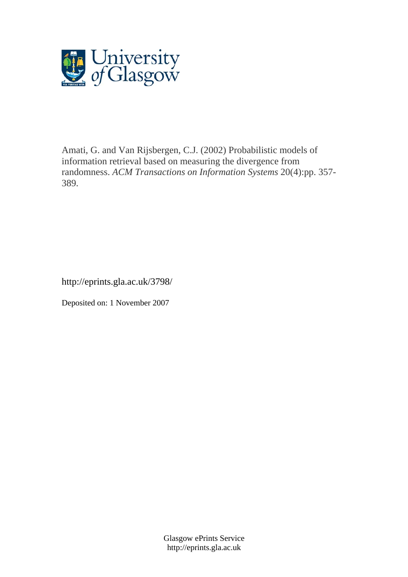

Amati, G. and Van Rijsbergen, C.J. (2002) Probabilistic models of information retrieval based on measuring the divergence from randomness. *ACM Transactions on Information Systems* 20(4):pp. 357- 389.

http://eprints.gla.ac.uk/3798/

Deposited on: 1 November 2007

Glasgow ePrints Service http://eprints.gla.ac.uk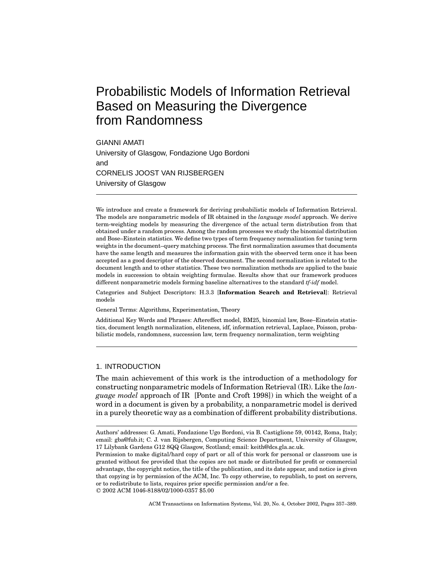# Probabilistic Models of Information Retrieval Based on Measuring the Divergence from Randomness

GIANNI AMATI University of Glasgow, Fondazione Ugo Bordoni and CORNELIS JOOST VAN RIJSBERGEN University of Glasgow

We introduce and create a framework for deriving probabilistic models of Information Retrieval. The models are nonparametric models of IR obtained in the *language model* approach. We derive term-weighting models by measuring the divergence of the actual term distribution from that obtained under a random process. Among the random processes we study the binomial distribution and Bose–Einstein statistics. We define two types of term frequency normalization for tuning term weights in the document–query matching process. The first normalization assumes that documents have the same length and measures the information gain with the observed term once it has been accepted as a good descriptor of the observed document. The second normalization is related to the document length and to other statistics. These two normalization methods are applied to the basic models in succession to obtain weighting formulae. Results show that our framework produces different nonparametric models forming baseline alternatives to the standard *tf-idf* model.

Categories and Subject Descriptors: H.3.3 [**Information Search and Retrieval**]: Retrieval models

General Terms: Algorithms, Experimentation, Theory

Additional Key Words and Phrases: Aftereffect model, BM25, binomial law, Bose–Einstein statistics, document length normalization, eliteness, idf, information retrieval, Laplace, Poisson, probabilistic models, randomness, succession law, term frequency normalization, term weighting

## 1. INTRODUCTION

The main achievement of this work is the introduction of a methodology for constructing nonparametric models of Information Retrieval (IR). Like the *language model* approach of IR [Ponte and Croft 1998]) in which the weight of a word in a document is given by a probability, a nonparametric model is derived in a purely theoretic way as a combination of different probability distributions.

ACM Transactions on Information Systems, Vol. 20, No. 4, October 2002, Pages 357–389.

Authors' addresses: G. Amati, Fondazione Ugo Bordoni, via B. Castiglione 59, 00142, Roma, Italy; email: gba@fub.it; C. J. van Rijsbergen, Computing Science Department, University of Glasgow, 17 Lilybank Gardens G12 8QQ Glasgow, Scotland; email: keith@dcs.gla.ac.uk.

Permission to make digital/hard copy of part or all of this work for personal or classroom use is granted without fee provided that the copies are not made or distributed for profit or commercial advantage, the copyright notice, the title of the publication, and its date appear, and notice is given that copying is by permission of the ACM, Inc. To copy otherwise, to republish, to post on servers, or to redistribute to lists, requires prior specific permission and/or a fee. °<sup>C</sup> 2002 ACM 1046-8188/02/1000-0357 \$5.00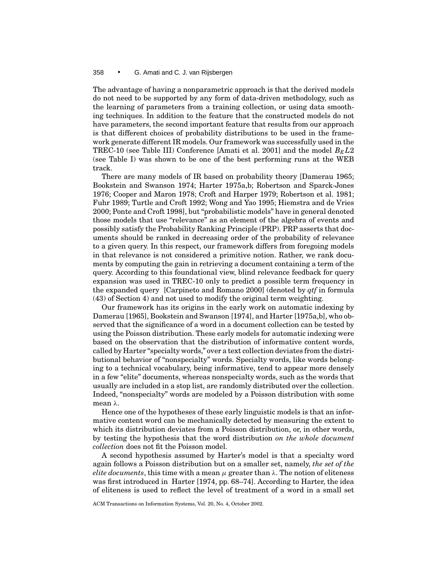The advantage of having a nonparametric approach is that the derived models do not need to be supported by any form of data-driven methodology, such as the learning of parameters from a training collection, or using data smoothing techniques. In addition to the feature that the constructed models do not have parameters, the second important feature that results from our approach is that different choices of probability distributions to be used in the framework generate different IR models. Our framework was successfully used in the TREC-10 (see Table III) Conference [Amati et al. 2001] and the model  $B_E L2$ (see Table I) was shown to be one of the best performing runs at the WEB track.

There are many models of IR based on probability theory [Damerau 1965; Bookstein and Swanson 1974; Harter 1975a,b; Robertson and Sparck-Jones 1976; Cooper and Maron 1978; Croft and Harper 1979; Robertson et al. 1981; Fuhr 1989; Turtle and Croft 1992; Wong and Yao 1995; Hiemstra and de Vries 2000; Ponte and Croft 1998], but "probabilistic models" have in general denoted those models that use "relevance" as an element of the algebra of events and possibly satisfy the Probability Ranking Principle (PRP). PRP asserts that documents should be ranked in decreasing order of the probability of relevance to a given query. In this respect, our framework differs from foregoing models in that relevance is not considered a primitive notion. Rather, we rank documents by computing the gain in retrieving a document containing a term of the query. According to this foundational view, blind relevance feedback for query expansion was used in TREC-10 only to predict a possible term frequency in the expanded query [Carpineto and Romano 2000] (denoted by *qtf* in formula (43) of Section 4) and not used to modify the original term weighting.

Our framework has its origins in the early work on automatic indexing by Damerau [1965], Bookstein and Swanson [1974], and Harter [1975a,b], who observed that the significance of a word in a document collection can be tested by using the Poisson distribution. These early models for automatic indexing were based on the observation that the distribution of informative content words, called by Harter "specialty words," over a text collection deviates from the distributional behavior of "nonspecialty" words. Specialty words, like words belonging to a technical vocabulary, being informative, tend to appear more densely in a few "elite" documents, whereas nonspecialty words, such as the words that usually are included in a stop list, are randomly distributed over the collection. Indeed, "nonspecialty" words are modeled by a Poisson distribution with some mean λ.

Hence one of the hypotheses of these early linguistic models is that an informative content word can be mechanically detected by measuring the extent to which its distribution deviates from a Poisson distribution, or, in other words, by testing the hypothesis that the word distribution *on the whole document collection* does not fit the Poisson model.

A second hypothesis assumed by Harter's model is that a specialty word again follows a Poisson distribution but on a smaller set, namely, *the set of the elite documents*, this time with a mean  $\mu$  greater than  $\lambda$ . The notion of eliteness was first introduced in Harter [1974, pp. 68–74]. According to Harter, the idea of eliteness is used to reflect the level of treatment of a word in a small set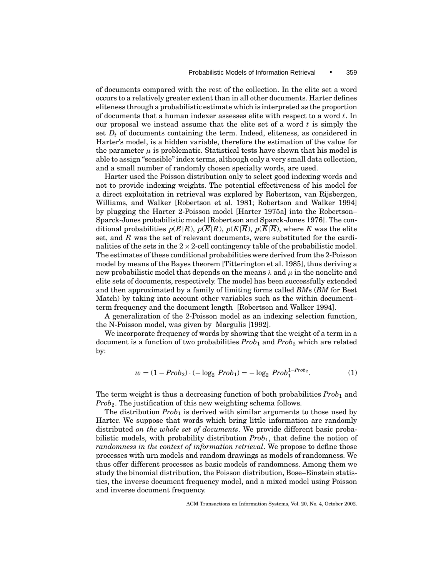of documents compared with the rest of the collection. In the elite set a word occurs to a relatively greater extent than in all other documents. Harter defines eliteness through a probabilistic estimate which is interpreted as the proportion of documents that a human indexer assesses elite with respect to a word *t*. In our proposal we instead assume that the elite set of a word *t* is simply the set  $D_t$  of documents containing the term. Indeed, eliteness, as considered in Harter's model, is a hidden variable, therefore the estimation of the value for the parameter  $\mu$  is problematic. Statistical tests have shown that his model is able to assign "sensible" index terms, although only a very small data collection, and a small number of randomly chosen specialty words, are used.

Harter used the Poisson distribution only to select good indexing words and not to provide indexing weights. The potential effectiveness of his model for a direct exploitation in retrieval was explored by Robertson, van Rijsbergen, Williams, and Walker [Robertson et al. 1981; Robertson and Walker 1994] by plugging the Harter 2-Poisson model [Harter 1975a] into the Robertson– Sparck-Jones probabilistic model [Robertson and Sparck-Jones 1976]. The conditional probabilities  $p(E|R)$ ,  $p(\overline{E}|R)$ ,  $p(E|\overline{R})$ ,  $p(\overline{E}|\overline{R})$ , where *E* was the elite set, and *R* was the set of relevant documents, were substituted for the cardinalities of the sets in the  $2 \times 2$ -cell contingency table of the probabilistic model. The estimates of these conditional probabilities were derived from the 2-Poisson model by means of the Bayes theorem [Titterington et al. 1985], thus deriving a new probabilistic model that depends on the means  $\lambda$  and  $\mu$  in the nonelite and elite sets of documents, respectively. The model has been successfully extended and then approximated by a family of limiting forms called *BM*s (*BM* for Best Match) by taking into account other variables such as the within document– term frequency and the document length [Robertson and Walker 1994].

A generalization of the 2-Poisson model as an indexing selection function, the N-Poisson model, was given by Margulis [1992].

We incorporate frequency of words by showing that the weight of a term in a document is a function of two probabilities *Prob*<sup>1</sup> and *Prob*<sup>2</sup> which are related by:

$$
w = (1 - Prob_2) \cdot (-\log_2 Prob_1) = -\log_2 Prob_1^{1 - Prob_2}.
$$
 (1)

The term weight is thus a decreasing function of both probabilities  $Prob_1$  and *Prob*2. The justification of this new weighting schema follows.

The distribution *Prob*<sub>1</sub> is derived with similar arguments to those used by Harter. We suppose that words which bring little information are randomly distributed *on the whole set of documents*. We provide different basic probabilistic models, with probability distribution *Prob*1, that define the notion of *randomness in the context of information retrieval*. We propose to define those processes with urn models and random drawings as models of randomness. We thus offer different processes as basic models of randomness. Among them we study the binomial distribution, the Poisson distribution, Bose–Einstein statistics, the inverse document frequency model, and a mixed model using Poisson and inverse document frequency.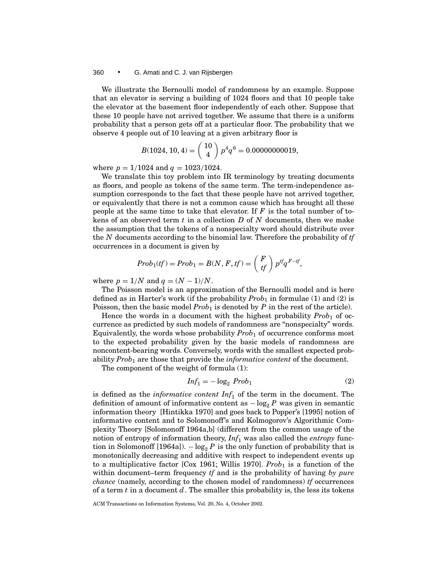these 10 people have not arrived together. We assume that there is a uniform probability that a person gets off at a particular floor. The probability that we observe 4 people out of 10 leaving at a given arbitrary floor is

$$
B(1024, 10, 4) = {10 \choose 4} p^4 q^6 = 0.00000000019,
$$

where  $p = 1/1024$  and  $q = 1023/1024$ .

We translate this toy problem into IR terminology by treating documents as floors, and people as tokens of the same term. The term-independence assumption corresponds to the fact that these people have not arrived together, or equivalently that there is not a common cause which has brought all these people at the same time to take that elevator. If *F* is the total number of tokens of an observed term *t* in a collection *D* of *N* documents, then we make the assumption that the tokens of a nonspecialty word should distribute over the *N* documents according to the binomial law. Therefore the probability of *tf* occurrences in a document is given by

$$
Prob_1(tf) = Prob_1 = B(N, F, tf) = {F \choose tf} p^{tf}q^{F - tf},
$$

where  $p = 1/N$  and  $q = (N - 1)/N$ .

The Poisson model is an approximation of the Bernoulli model and is here defined as in Harter's work (if the probability *Prob*<sup>1</sup> in formulae (1) and (2) is Poisson, then the basic model *Prob*<sub>1</sub> is denoted by *P* in the rest of the article).

Hence the words in a document with the highest probability *Prob*<sub>1</sub> of occurrence as predicted by such models of randomness are "nonspecialty" words. Equivalently, the words whose probability *Prob*<sup>1</sup> of occurrence conforms most to the expected probability given by the basic models of randomness are noncontent-bearing words. Conversely, words with the smallest expected probability *Prob*<sup>1</sup> are those that provide the *informative content* of the document.

The component of the weight of formula (1):

$$
Inf_1 = -\log_2 Prob_1 \tag{2}
$$

is defined as the *informative content Inf*<sup>1</sup> of the term in the document. The definition of amount of informative content as  $-\log_2 P$  was given in semantic information theory [Hintikka 1970] and goes back to Popper's [1995] notion of informative content and to Solomonoff's and Kolmogorov's Algorithmic Complexity Theory [Solomonoff 1964a,b] (different from the common usage of the notion of entropy of information theory, *Inf*<sup>1</sup> was also called the *entropy* function in Solomonoff [1964a]).  $-\log_2 P$  is the only function of probability that is monotonically decreasing and additive with respect to independent events up to a multiplicative factor [Cox 1961; Willis 1970].  $Prob_1$  is a function of the within document–term frequency *tf* and is the probability of having *by pure chance* (namely, according to the chosen model of randomness) *tf* occurrences of a term *t* in a document *d*. The smaller this probability is, the less its tokens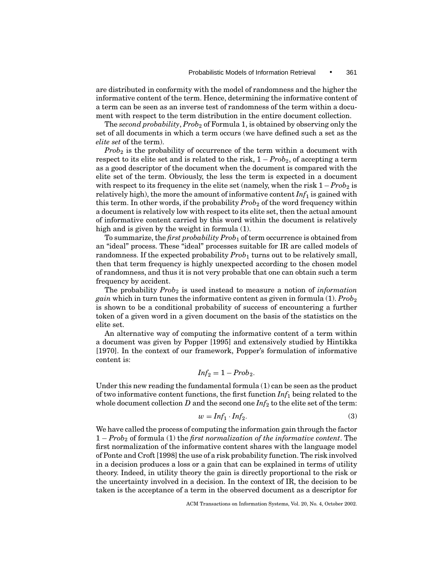are distributed in conformity with the model of randomness and the higher the informative content of the term. Hence, determining the informative content of a term can be seen as an inverse test of randomness of the term within a document with respect to the term distribution in the entire document collection.

The *second probability, Prob<sub>2</sub>* of Formula 1, is obtained by observing only the set of all documents in which a term occurs (we have defined such a set as the *elite set* of the term).

*Prob*<sup>2</sup> is the probability of occurrence of the term within a document with respect to its elite set and is related to the risk, 1 − *Prob*2, of accepting a term as a good descriptor of the document when the document is compared with the elite set of the term. Obviously, the less the term is expected in a document with respect to its frequency in the elite set (namely, when the risk  $1 - Prob_2$  is relatively high), the more the amount of informative content  $Inf_1$  is gained with this term. In other words, if the probability  $Prob_2$  of the word frequency within a document is relatively low with respect to its elite set, then the actual amount of informative content carried by this word within the document is relatively high and is given by the weight in formula (1).

To summarize, the *first probability Prob*<sup>1</sup> of term occurrence is obtained from an "ideal" process. These "ideal" processes suitable for IR are called models of randomness. If the expected probability *Prob*<sub>1</sub> turns out to be relatively small, then that term frequency is highly unexpected according to the chosen model of randomness, and thus it is not very probable that one can obtain such a term frequency by accident.

The probability *Prob*<sub>2</sub> is used instead to measure a notion of *information gain* which in turn tunes the informative content as given in formula  $(1)$ . *Prob*<sub>2</sub> is shown to be a conditional probability of success of encountering a further token of a given word in a given document on the basis of the statistics on the elite set.

An alternative way of computing the informative content of a term within a document was given by Popper [1995] and extensively studied by Hintikka [1970]. In the context of our framework, Popper's formulation of informative content is:

$$
Inf_2=1-Prob_2.
$$

Under this new reading the fundamental formula (1) can be seen as the product of two informative content functions, the first function *Inf*<sup>1</sup> being related to the whole document collection *D* and the second one *Inf*<sup>2</sup> to the elite set of the term:

$$
w = Inf_1 \cdot Inf_2. \tag{3}
$$

We have called the process of computing the information gain through the factor 1 − *Prob*<sup>2</sup> of formula (1) the *first normalization of the informative content*. The first normalization of the informative content shares with the language model of Ponte and Croft [1998] the use of a risk probability function. The risk involved in a decision produces a loss or a gain that can be explained in terms of utility theory. Indeed, in utility theory the gain is directly proportional to the risk or the uncertainty involved in a decision. In the context of IR, the decision to be taken is the acceptance of a term in the observed document as a descriptor for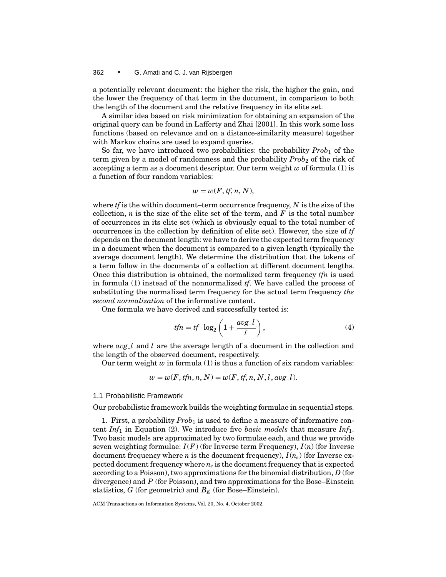a potentially relevant document: the higher the risk, the higher the gain, and the lower the frequency of that term in the document, in comparison to both the length of the document and the relative frequency in its elite set.

A similar idea based on risk minimization for obtaining an expansion of the original query can be found in Lafferty and Zhai [2001]. In this work some loss functions (based on relevance and on a distance-similarity measure) together with Markov chains are used to expand queries.

So far, we have introduced two probabilities: the probability *Prob*<sub>1</sub> of the term given by a model of randomness and the probability *Prob*<sub>2</sub> of the risk of accepting a term as a document descriptor. Our term weight *w* of formula (1) is a function of four random variables:

$$
w=w(F,tf,n,N),
$$

where *tf* is the within document–term occurrence frequency, *N* is the size of the collection,  $n$  is the size of the elite set of the term, and  $F$  is the total number of occurrences in its elite set (which is obviously equal to the total number of occurrences in the collection by definition of elite set). However, the size of *tf* depends on the document length: we have to derive the expected term frequency in a document when the document is compared to a given length (typically the average document length). We determine the distribution that the tokens of a term follow in the documents of a collection at different document lengths. Once this distribution is obtained, the normalized term frequency *tfn* is used in formula (1) instead of the nonnormalized *tf*. We have called the process of substituting the normalized term frequency for the actual term frequency *the second normalization* of the informative content.

One formula we have derived and successfully tested is:

$$
tfn = tf \cdot \log_2\left(1 + \frac{avg \cdot l}{l}\right),\tag{4}
$$

where  $avg\_l$  and *l* are the average length of a document in the collection and the length of the observed document, respectively.

Our term weight  $w$  in formula (1) is thus a function of six random variables:

$$
w = w(F, tfn, n, N) = w(F, tfn, n, N, l, avg_l).
$$

#### 1.1 Probabilistic Framework

Our probabilistic framework builds the weighting formulae in sequential steps.

1. First, a probability *Prob*<sup>1</sup> is used to define a measure of informative content *Inf*<sup>1</sup> in Equation (2). We introduce five *basic models* that measure *Inf*1. Two basic models are approximated by two formulae each, and thus we provide seven weighting formulae:  $I(F)$  (for Inverse term Frequency),  $I(n)$  (for Inverse document frequency where *n* is the document frequency), *I* (*ne*) (for Inverse expected document frequency where *ne* is the document frequency that is expected according to a Poisson), two approximations for the binomial distribution, *D* (for divergence) and *P* (for Poisson), and two approximations for the Bose–Einstein statistics,  $G$  (for geometric) and  $B_E$  (for Bose–Einstein).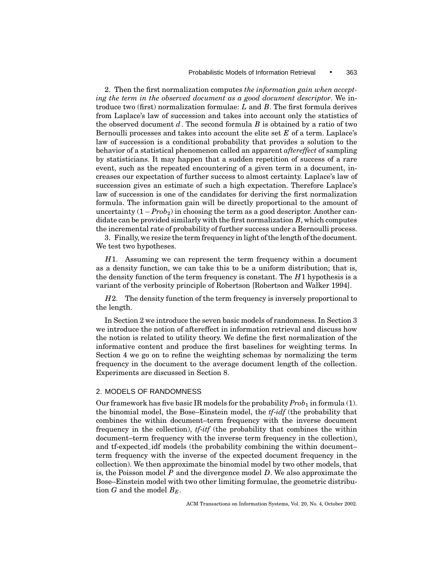2. Then the first normalization computes *the information gain when accepting the term in the observed document as a good document descriptor*. We introduce two (first) normalization formulae: *L* and *B*. The first formula derives from Laplace's law of succession and takes into account only the statistics of the observed document *d*. The second formula *B* is obtained by a ratio of two Bernoulli processes and takes into account the elite set *E* of a term. Laplace's law of succession is a conditional probability that provides a solution to the behavior of a statistical phenomenon called an apparent *aftereffect* of sampling by statisticians. It may happen that a sudden repetition of success of a rare event, such as the repeated encountering of a given term in a document, increases our expectation of further success to almost certainty. Laplace's law of succession gives an estimate of such a high expectation. Therefore Laplace's law of succession is one of the candidates for deriving the first normalization formula. The information gain will be directly proportional to the amount of uncertainty  $(1 - Prob_2)$  in choosing the term as a good descriptor. Another candidate can be provided similarly with the first normalization *B*, which computes the incremental rate of probability of further success under a Bernoulli process.

3. Finally, we resize the term frequency in light of the length of the document. We test two hypotheses.

*H*1. Assuming we can represent the term frequency within a document as a density function, we can take this to be a uniform distribution; that is, the density function of the term frequency is constant. The *H*1 hypothesis is a variant of the verbosity principle of Robertson [Robertson and Walker 1994].

*H*2. The density function of the term frequency is inversely proportional to the length.

In Section 2 we introduce the seven basic models of randomness. In Section 3 we introduce the notion of aftereffect in information retrieval and discuss how the notion is related to utility theory. We define the first normalization of the informative content and produce the first baselines for weighting terms. In Section 4 we go on to refine the weighting schemas by normalizing the term frequency in the document to the average document length of the collection. Experiments are discussed in Section 8.

#### 2. MODELS OF RANDOMNESS

Our framework has five basic IR models for the probability  $Prob_1$  in formula (1). the binomial model, the Bose–Einstein model, the *tf*-*idf* (the probability that combines the within document–term frequency with the inverse document frequency in the collection), *tf*-*itf* (the probability that combines the within document–term frequency with the inverse term frequency in the collection), and tf-expected idf models (the probability combining the within document– term frequency with the inverse of the expected document frequency in the collection). We then approximate the binomial model by two other models, that is, the Poisson model *P* and the divergence model *D*. We also approximate the Bose–Einstein model with two other limiting formulae, the geometric distribution *G* and the model  $B_F$ .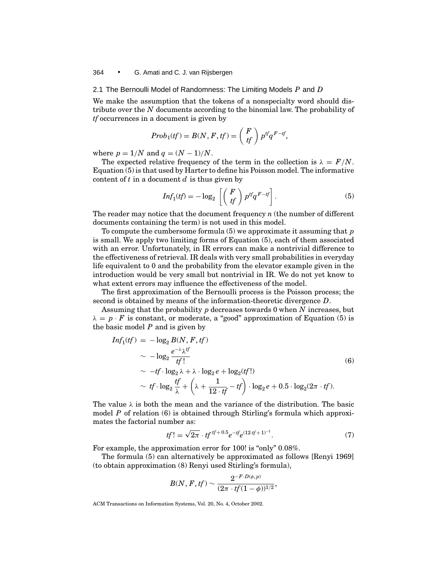## 2.1 The Bernoulli Model of Randomness: The Limiting Models *P* and *D*

We make the assumption that the tokens of a nonspecialty word should distribute over the *N* documents according to the binomial law. The probability of *tf* occurrences in a document is given by

$$
Prob_1(tf) = B(N, F, tf) = {F \choose tf} p^{tf}q^{F - tf},
$$

where  $p = 1/N$  and  $q = (N - 1)/N$ .

The expected relative frequency of the term in the collection is  $\lambda = F/N$ . Equation (5) is that used by Harter to define his Poisson model. The informative content of *t* in a document *d* is thus given by

$$
Inf_1(tf) = -\log_2\left[\binom{F}{tf} p^{tf}q^{F-tf}\right].\tag{5}
$$

The reader may notice that the document frequency *n* (the number of different documents containing the term) is not used in this model.

To compute the cumbersome formula (5) we approximate it assuming that *p* is small. We apply two limiting forms of Equation (5), each of them associated with an error. Unfortunately, in IR errors can make a nontrivial difference to the effectiveness of retrieval. IR deals with very small probabilities in everyday life equivalent to 0 and the probability from the elevator example given in the introduction would be very small but nontrivial in IR. We do not yet know to what extent errors may influence the effectiveness of the model.

The first approximation of the Bernoulli process is the Poisson process; the second is obtained by means of the information-theoretic divergence *D*.

Assuming that the probability *p* decreases towards 0 when *N* increases, but  $\lambda = p \cdot F$  is constant, or moderate, a "good" approximation of Equation (5) is the basic model *P* and is given by

$$
Inf_1(tf) = -\log_2 B(N, F, tf)
$$
  
\n
$$
\sim -\log_2 \frac{e^{-\lambda} \lambda^{tf}}{tf!}
$$
  
\n
$$
\sim -tf \cdot \log_2 \lambda + \lambda \cdot \log_2 e + \log_2(tf!)
$$
  
\n
$$
\sim tf \cdot \log_2 \frac{tf}{\lambda} + \left(\lambda + \frac{1}{12 \cdot tf} - tf\right) \cdot \log_2 e + 0.5 \cdot \log_2(2\pi \cdot tf).
$$
\n(6)

The value  $\lambda$  is both the mean and the variance of the distribution. The basic model *P* of relation (6) is obtained through Stirling's formula which approximates the factorial number as:

$$
tf! = \sqrt{2\pi} \cdot tf^{tf+0.5}e^{-tf}e^{(12 \cdot tf+1)^{-1}}.
$$
 (7)

For example, the approximation error for 100! is "only" 0.08%.

The formula (5) can alternatively be approximated as follows [Renyi 1969] (to obtain approximation (8) Renyi used Stirling's formula),

$$
B(N, F, tf) \sim \frac{2^{-F \cdot D(\phi, p)}}{(2\pi \cdot tf(1-\phi))^{1/2}},
$$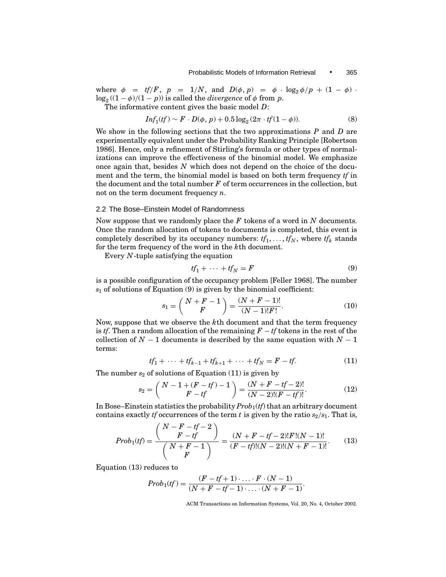where  $\phi = tf/F$ ,  $p = 1/N$ , and  $D(\phi, p) = \phi \cdot \log_2 \phi / p + (1 - \phi)$ .  $\log_2 ((1 - \phi)/(1 - p))$  is called the *divergence* of  $\phi$  from *p*.

The informative content gives the basic model *D*:

$$
Inf_1(tf) \sim F \cdot D(\phi, p) + 0.5 \log_2(2\pi \cdot tf(1-\phi)). \tag{8}
$$

We show in the following sections that the two approximations *P* and *D* are experimentally equivalent under the Probability Ranking Principle [Robertson 1986]. Hence, only a refinement of Stirling's formula or other types of normalizations can improve the effectiveness of the binomial model. We emphasize once again that, besides *N* which does not depend on the choice of the document and the term, the binomial model is based on both term frequency *tf* in the document and the total number *F* of term occurrences in the collection, but not on the term document frequency *n*.

### 2.2 The Bose–Einstein Model of Randomness

Now suppose that we randomly place the *F* tokens of a word in *N* documents. Once the random allocation of tokens to documents is completed, this event is completely described by its occupancy numbers:  $tf_1, \ldots, tf_N$ , where  $tf_k$  stands for the term frequency of the word in the *k*th document.

Every *N*-tuple satisfying the equation

$$
tf_1 + \dots + tf_N = F \tag{9}
$$

is a possible configuration of the occupancy problem [Feller 1968]. The number  $s<sub>1</sub>$  of solutions of Equation (9) is given by the binomial coefficient:

$$
s_1 = {N + F - 1 \choose F} = \frac{(N + F - 1)!}{(N - 1)!F!}.
$$
 (10)

Now, suppose that we observe the *k*th document and that the term frequency is *tf*. Then a random allocation of the remaining *F* − *tf* tokens in the rest of the collection of  $N-1$  documents is described by the same equation with  $N-1$ terms:

$$
tf_1 + \dots + tf_{k-1} + tf_{k+1} + \dots + tf_N = F - tf. \tag{11}
$$

The number  $s_2$  of solutions of Equation  $(11)$  is given by

$$
s_2 = {N-1+(F-tf)-1 \choose F-tf} = \frac{(N+F-tf-2)!}{(N-2)!(F-tf)!}.
$$
 (12)

In Bose–Einstein statistics the probability *Prob*1(*tf*) that an arbitrary document contains exactly *tf* occurrences of the term *t* is given by the ratio  $s_2/s_1$ . That is,

$$
Prob_1(tf) = \frac{\binom{N-F-tf-2}{F-tf}}{\binom{N+F-1}{F}} = \frac{(N+F-tf-2)!F!(N-1)!}{(F-tf)!(N-2)!(N+F-1)!}.
$$
(13)

Equation (13) reduces to

$$
Prob_1(tf) = \frac{(F - tf + 1) \cdot \ldots \cdot F \cdot (N - 1)}{(N + F - tf - 1) \cdot \ldots \cdot (N + F - 1)}.
$$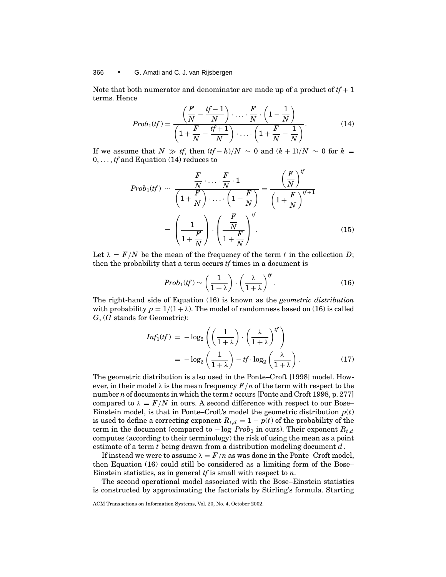Note that both numerator and denominator are made up of a product of  $tf + 1$ terms. Hence

$$
Prob_1(tf) = \frac{\left(\frac{F}{N} - \frac{tf-1}{N}\right) \cdot \ldots \cdot \frac{F}{N} \cdot \left(1 - \frac{1}{N}\right)}{\left(1 + \frac{F}{N} - \frac{tf+1}{N}\right) \cdot \ldots \cdot \left(1 + \frac{F}{N} - \frac{1}{N}\right)}.
$$
(14)

If we assume that  $N \gg tf$ , then  $(tf-k)/N \sim 0$  and  $(k+1)/N \sim 0$  for  $k =$ 0, ... , *tf* and Equation (14) reduces to

$$
Prob_1(tf) \sim \frac{\frac{F}{N} \cdot \ldots \cdot \frac{F}{N} \cdot 1}{\left(1 + \frac{F}{N}\right) \cdot \ldots \cdot \left(1 + \frac{F}{N}\right)} = \frac{\left(\frac{F}{N}\right)^{tf}}{\left(1 + \frac{F}{N}\right)^{tf+1}}
$$

$$
= \left(\frac{1}{1 + \frac{F}{N}}\right) \cdot \left(\frac{\frac{F}{N}}{1 + \frac{F}{N}}\right)^{tf}.
$$
(15)

Let  $\lambda = F/N$  be the mean of the frequency of the term t in the collection D; then the probability that a term occurs *tf* times in a document is

$$
Prob_1(tf) \sim \left(\frac{1}{1+\lambda}\right) \cdot \left(\frac{\lambda}{1+\lambda}\right)^{tf}.\tag{16}
$$

The right-hand side of Equation (16) is known as the *geometric distribution* with probability  $p = 1/(1 + \lambda)$ . The model of randomness based on (16) is called *G*, (*G* stands for Geometric):

$$
Inf_1(tf) = -\log_2\left(\left(\frac{1}{1+\lambda}\right) \cdot \left(\frac{\lambda}{1+\lambda}\right)^{tf}\right)
$$
  
= 
$$
-\log_2\left(\frac{1}{1+\lambda}\right) - tf \cdot \log_2\left(\frac{\lambda}{1+\lambda}\right).
$$
 (17)

The geometric distribution is also used in the Ponte–Croft [1998] model. However, in their model  $\lambda$  is the mean frequency  $F/n$  of the term with respect to the number *n* of documents in which the term *t* occurs [Ponte and Croft 1998, p. 277] compared to  $\lambda = F/N$  in ours. A second difference with respect to our Bose– Einstein model, is that in Ponte–Croft's model the geometric distribution  $p(t)$ is used to define a correcting exponent  $R_{t,d} = 1 - p(t)$  of the probability of the term in the document (compared to  $-\log Prob_1$  in ours). Their exponent  $R_{t,d}$ computes (according to their terminology) the risk of using the mean as a point estimate of a term *t* being drawn from a distribution modeling document *d*.

If instead we were to assume  $\lambda = F/n$  as was done in the Ponte–Croft model, then Equation (16) could still be considered as a limiting form of the Bose– Einstein statistics, as in general *tf* is small with respect to *n*.

The second operational model associated with the Bose–Einstein statistics is constructed by approximating the factorials by Stirling's formula. Starting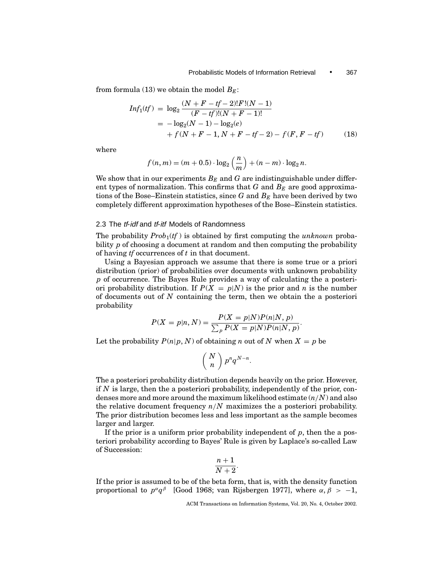from formula (13) we obtain the model  $B_E$ :

$$
Inf_1(tf) = \log_2 \frac{(N + F - tf - 2)!F!(N - 1)}{(F - tf)!(N + F - 1)!}
$$
  
= -\log\_2(N - 1) - \log\_2(e)  
+ f(N + F - 1, N + F - tf - 2) - f(F, F - tf) (18)

where

$$
f(n,m) = (m+0.5) \cdot \log_2\left(\frac{n}{m}\right) + (n-m) \cdot \log_2 n.
$$

We show that in our experiments  $B<sub>E</sub>$  and G are indistinguishable under different types of normalization. This confirms that  $G$  and  $B<sub>E</sub>$  are good approximations of the Bose–Einstein statistics, since  $G$  and  $B<sub>E</sub>$  have been derived by two completely different approximation hypotheses of the Bose–Einstein statistics.

### 2.3 The *tf-idf* and *tf-itf* Models of Randomness

The probability  $Prob_1(tf)$  is obtained by first computing the *unknown* probability *p* of choosing a document at random and then computing the probability of having *tf* occurrences of *t* in that document.

Using a Bayesian approach we assume that there is some true or a priori distribution (prior) of probabilities over documents with unknown probability *p* of occurrence. The Bayes Rule provides a way of calculating the a posteriori probability distribution. If  $P(X = p|N)$  is the prior and *n* is the number of documents out of *N* containing the term, then we obtain the a posteriori probability

$$
P(X = p|n, N) = \frac{P(X = p|N)P(n|N, p)}{\sum_{p} P(X = p|N)P(n|N, p)}.
$$

Let the probability  $P(n|p, N)$  of obtaining *n* out of *N* when  $X = p$  be

$$
\left(\begin{array}{c}N\\n\end{array}\right)p^nq^{N-n}.
$$

The a posteriori probability distribution depends heavily on the prior. However, if *N* is large, then the a posteriori probability, independently of the prior, condenses more and more around the maximum likelihood estimate (*n*/*N*) and also the relative document frequency *n*/*N* maximizes the a posteriori probability. The prior distribution becomes less and less important as the sample becomes larger and larger.

If the prior is a uniform prior probability independent of *p*, then the a posteriori probability according to Bayes' Rule is given by Laplace's so-called Law of Succession:

$$
\frac{n+1}{N+2}
$$

.

If the prior is assumed to be of the beta form, that is, with the density function proportional to  $p^{\alpha}q^{\beta}$  [Good 1968; van Rijsbergen 1977], where  $\alpha, \beta > -1$ ,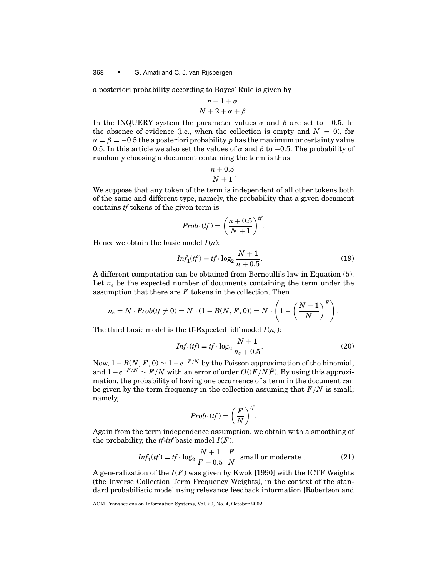a posteriori probability according to Bayes' Rule is given by

$$
\frac{n+1+\alpha}{N+2+\alpha+\beta}.
$$

In the INQUERY system the parameter values  $\alpha$  and  $\beta$  are set to −0.5. In the absence of evidence (i.e., when the collection is empty and  $N = 0$ ), for  $\alpha = \beta = -0.5$  the a posteriori probability p has the maximum uncertainty value 0.5. In this article we also set the values of  $\alpha$  and  $\beta$  to −0.5. The probability of randomly choosing a document containing the term is thus

$$
\frac{n+0.5}{N+1}.
$$

We suppose that any token of the term is independent of all other tokens both of the same and different type, namely, the probability that a given document contains *tf* tokens of the given term is

$$
Prob_1(tf) = \left(\frac{n+0.5}{N+1}\right)^{tf}.
$$

Hence we obtain the basic model  $I(n)$ :

$$
Inf_1(tf) = tf \cdot \log_2 \frac{N+1}{n+0.5}.
$$
 (19)

A different computation can be obtained from Bernoulli's law in Equation (5). Let  $n_e$  be the expected number of documents containing the term under the assumption that there are *F* tokens in the collection. Then

$$
n_e = N \cdot Prob(tf \neq 0) = N \cdot (1 - B(N, F, 0)) = N \cdot \left(1 - \left(\frac{N-1}{N}\right)^F\right).
$$

The third basic model is the tf-Expected idf model  $I(n_e)$ :

$$
Inf_1(tf) = tf \cdot \log_2 \frac{N+1}{n_e + 0.5}.
$$
 (20)

Now,  $1 - B(N, F, 0) \sim 1 - e^{-F/N}$  by the Poisson approximation of the binomial, and 1 − *e*<sup>−</sup>*F*/*<sup>N</sup>* ∼ *F*/*N* with an error of order *O*((*F*/*N*) 2). By using this approximation, the probability of having one occurrence of a term in the document can be given by the term frequency in the collection assuming that  $F/N$  is small; namely,

$$
Prob_1(tf) = \left(\frac{F}{N}\right)^{tf}.
$$

Again from the term independence assumption, we obtain with a smoothing of the probability, the *tf-itf* basic model  $I(F)$ ,

$$
Inf_1(tf) = tf \cdot \log_2 \frac{N+1}{F+0.5} \frac{F}{N} \text{ small or moderate }.
$$
 (21)

A generalization of the  $I(F)$  was given by Kwok [1990] with the ICTF Weights (the Inverse Collection Term Frequency Weights), in the context of the standard probabilistic model using relevance feedback information [Robertson and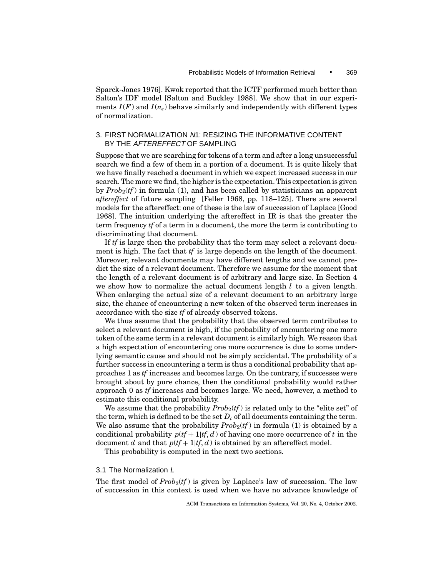Sparck-Jones 1976]. Kwok reported that the ICTF performed much better than Salton's IDF model [Salton and Buckley 1988]. We show that in our experiments  $I(F)$  and  $I(n_e)$  behave similarly and independently with different types of normalization.

## 3. FIRST NORMALIZATION N1: RESIZING THE INFORMATIVE CONTENT BY THE AFTEREFFECT OF SAMPLING

Suppose that we are searching for tokens of a term and after a long unsuccessful search we find a few of them in a portion of a document. It is quite likely that we have finally reached a document in which we expect increased success in our search. The more we find, the higher is the expectation. This expectation is given by  $Prob_2(tf)$  in formula (1), and has been called by statisticians an apparent *aftereffect* of future sampling [Feller 1968, pp. 118–125]. There are several models for the aftereffect: one of these is the law of succession of Laplace [Good 1968]. The intuition underlying the aftereffect in IR is that the greater the term frequency *tf* of a term in a document, the more the term is contributing to discriminating that document.

If *tf* is large then the probability that the term may select a relevant document is high. The fact that *tf* is large depends on the length of the document. Moreover, relevant documents may have different lengths and we cannot predict the size of a relevant document. Therefore we assume for the moment that the length of a relevant document is of arbitrary and large size. In Section 4 we show how to normalize the actual document length *l* to a given length. When enlarging the actual size of a relevant document to an arbitrary large size, the chance of encountering a new token of the observed term increases in accordance with the size *tf* of already observed tokens.

We thus assume that the probability that the observed term contributes to select a relevant document is high, if the probability of encountering one more token of the same term in a relevant document is similarly high. We reason that a high expectation of encountering one more occurrence is due to some underlying semantic cause and should not be simply accidental. The probability of a further success in encountering a term is thus a conditional probability that approaches 1 as *tf* increases and becomes large. On the contrary, if successes were brought about by pure chance, then the conditional probability would rather approach 0 as *tf* increases and becomes large. We need, however, a method to estimate this conditional probability.

We assume that the probability  $Prob_2(tf)$  is related only to the "elite set" of the term, which is defined to be the set  $D_t$  of all documents containing the term. We also assume that the probability  $Prob_2(tf)$  in formula (1) is obtained by a conditional probability  $p(t + 1|t, d)$  of having one more occurrence of *t* in the document *d* and that  $p(t + 1|t, d)$  is obtained by an aftereffect model.

This probability is computed in the next two sections.

## 3.1 The Normalization L

The first model of  $Prob_2(tf)$  is given by Laplace's law of succession. The law of succession in this context is used when we have no advance knowledge of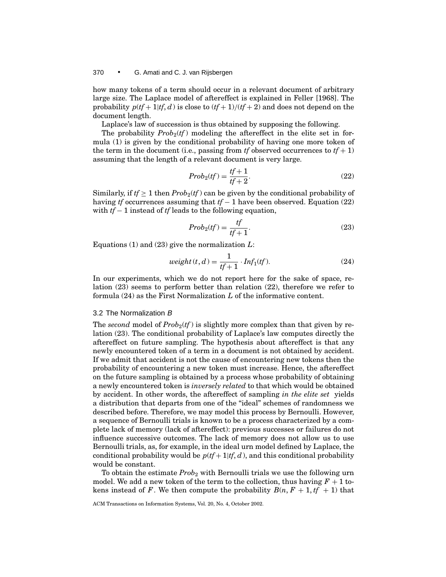how many tokens of a term should occur in a relevant document of arbitrary large size. The Laplace model of aftereffect is explained in Feller [1968]. The probability  $p(t^2 + 1|t^2, d)$  is close to  $(t^2 + 1)/(t^2 + 2)$  and does not depend on the document length.

Laplace's law of succession is thus obtained by supposing the following.

The probability  $Prob_2(tf)$  modeling the aftereffect in the elite set in formula (1) is given by the conditional probability of having one more token of the term in the document (i.e., passing from *tf* observed occurrences to  $tf + 1$ ) assuming that the length of a relevant document is very large.

$$
Prob_2(tf) = \frac{tf+1}{tf+2}.\tag{22}
$$

Similarly, if  $tf \geq 1$  then  $Prob_2(tf)$  can be given by the conditional probability of having *tf* occurrences assuming that *tf* − 1 have been observed. Equation (22) with *tf* − 1 instead of *tf* leads to the following equation,

$$
Prob_2(tf) = \frac{tf}{tf + 1}.
$$
\n(23)

Equations (1) and (23) give the normalization *L*:

$$
weight(t, d) = \frac{1}{tf + 1} \cdot Inf_1(tf).
$$
\n(24)

In our experiments, which we do not report here for the sake of space, relation (23) seems to perform better than relation (22), therefore we refer to formula (24) as the First Normalization *L* of the informative content.

### 3.2 The Normalization B

The *second* model of  $Prob_2(tf)$  is slightly more complex than that given by relation (23). The conditional probability of Laplace's law computes directly the aftereffect on future sampling. The hypothesis about aftereffect is that any newly encountered token of a term in a document is not obtained by accident. If we admit that accident is not the cause of encountering new tokens then the probability of encountering a new token must increase. Hence, the aftereffect on the future sampling is obtained by a process whose probability of obtaining a newly encountered token is *inversely related* to that which would be obtained by accident. In other words, the aftereffect of sampling *in the elite set* yields a distribution that departs from one of the "ideal" schemes of randomness we described before. Therefore, we may model this process by Bernoulli. However, a sequence of Bernoulli trials is known to be a process characterized by a complete lack of memory (lack of aftereffect): previous successes or failures do not influence successive outcomes. The lack of memory does not allow us to use Bernoulli trials, as, for example, in the ideal urn model defined by Laplace, the conditional probability would be  $p(t_f+1|tf, d)$ , and this conditional probability would be constant.

To obtain the estimate *Prob*<sup>2</sup> with Bernoulli trials we use the following urn model. We add a new token of the term to the collection, thus having  $F + 1$  tokens instead of *F*. We then compute the probability  $B(n, F + 1, tf + 1)$  that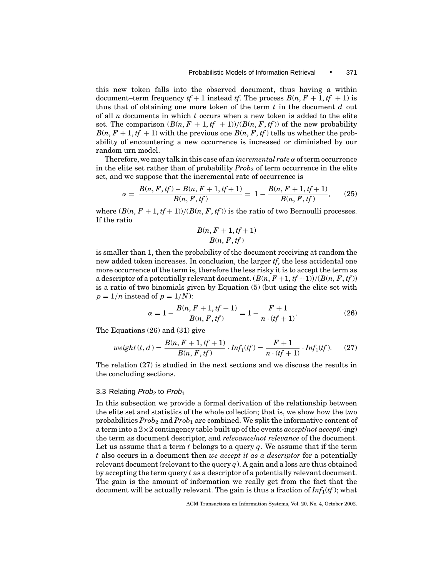this new token falls into the observed document, thus having a within document–term frequency  $tf + 1$  instead  $tf$ . The process  $B(n, F + 1, tf + 1)$  is thus that of obtaining one more token of the term *t* in the document *d* out of all *n* documents in which *t* occurs when a new token is added to the elite set. The comparison  $(B(n, F + 1, tf + 1))/(B(n, F, tf))$  of the new probability  $B(n, F + 1, tf + 1)$  with the previous one  $B(n, F, tf)$  tells us whether the probability of encountering a new occurrence is increased or diminished by our random urn model.

Therefore, we may talk in this case of an *incremental rate* α of term occurrence in the elite set rather than of probability *Prob*<sub>2</sub> of term occurrence in the elite set, and we suppose that the incremental rate of occurrence is

$$
\alpha = \frac{B(n, F, tf) - B(n, F + 1, tf + 1)}{B(n, F, tf)} = 1 - \frac{B(n, F + 1, tf + 1)}{B(n, F, tf)},
$$
(25)

where  $(B(n, F + 1, tf + 1))/(B(n, F, tf))$  is the ratio of two Bernoulli processes. If the ratio

$$
\frac{B(n, F + 1, tf + 1)}{B(n, F, tf)}
$$

is smaller than 1, then the probability of the document receiving at random the new added token increases. In conclusion, the larger *tf*, the less accidental one more occurrence of the term is, therefore the less risky it is to accept the term as a descriptor of a potentially relevant document.  $(B(n, F+1, tf+1))/(B(n, F, tf))$ is a ratio of two binomials given by Equation (5) (but using the elite set with  $p = 1/n$  instead of  $p = 1/N$ :

$$
\alpha = 1 - \frac{B(n, F + 1, tf + 1)}{B(n, F, tf)} = 1 - \frac{F + 1}{n \cdot (tf + 1)}.
$$
\n(26)

The Equations (26) and (31) give

$$
weight(t, d) = \frac{B(n, F + 1, tf + 1)}{B(n, F, tf)} \cdot Inf_1(tf) = \frac{F + 1}{n \cdot (tf + 1)} \cdot Inf_1(tf). \tag{27}
$$

The relation (27) is studied in the next sections and we discuss the results in the concluding sections.

#### 3.3 Relating *Prob<sub>2</sub>* to *Prob<sub>1</sub>*

In this subsection we provide a formal derivation of the relationship between the elite set and statistics of the whole collection; that is, we show how the two probabilities *Prob*<sup>2</sup> and *Prob*<sup>1</sup> are combined. We split the informative content of a term into a 2×2 contingency table built up of the events *accept*/*not accept*(-ing) the term as document descriptor, and *relevance*/*not relevance* of the document. Let us assume that a term *t* belongs to a query *q*. We assume that if the term *t* also occurs in a document then *we accept it as a descriptor* for a potentially relevant document (relevant to the query *q*). A gain and a loss are thus obtained by accepting the term query *t* as a descriptor of a potentially relevant document. The gain is the amount of information we really get from the fact that the document will be actually relevant. The gain is thus a fraction of *Inf*1(*tf* ); what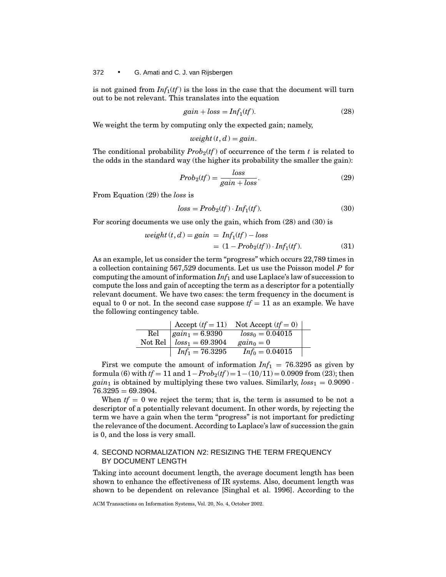is not gained from  $Inf_1(tf)$  is the loss in the case that the document will turn out to be not relevant. This translates into the equation

$$
gain + loss = Inf_1(tf). \tag{28}
$$

We weight the term by computing only the expected gain; namely,

$$
weight(t, d) = gain.
$$

The conditional probability  $Prob_2(t)$  of occurrence of the term t is related to the odds in the standard way (the higher its probability the smaller the gain):

$$
Prob_2(tf) = \frac{loss}{gain + loss}.\tag{29}
$$

From Equation (29) the *loss* is

$$
loss = Prob_2(tf) \cdot Inf_1(tf). \tag{30}
$$

For scoring documents we use only the gain, which from (28) and (30) is

$$
weight(t, d) = gain = Inf_1(tf) - loss
$$
  
= (1 - Prob<sub>2</sub>(tf)) \cdot Inf\_1(tf). (31)

As an example, let us consider the term "progress" which occurs 22,789 times in a collection containing 567,529 documents. Let us use the Poisson model *P* for computing the amount of information *Inf*<sup>1</sup> and use Laplace's law of succession to compute the loss and gain of accepting the term as a descriptor for a potentially relevant document. We have two cases: the term frequency in the document is equal to 0 or not. In the second case suppose  $tf = 11$  as an example. We have the following contingency table.

|              | Accept $(tf = 11)$ | Not Accept $(tf = 0)$ |  |
|--------------|--------------------|-----------------------|--|
| $_{\rm Rel}$ | $gain_1 = 6.9390$  | $loss_0 = 0.04015$    |  |
| Not Rel      | $loss_1 = 69.3904$ | $gain_0=0$            |  |
|              | $Inf_1 = 76.3295$  | $Inf_0 = 0.04015$     |  |

First we compute the amount of information  $Inf_1 = 76.3295$  as given by formula (6) with  $tf = 11$  and  $1 - Prob_2(tf) = 1 - (10/11) = 0.0909$  from (23); then *gain*<sub>1</sub> is obtained by multiplying these two values. Similarly,  $loss_1 = 0.9090$ .  $76.3295 = 69.3904.$ 

When  $tf = 0$  we reject the term; that is, the term is assumed to be not a descriptor of a potentially relevant document. In other words, by rejecting the term we have a gain when the term "progress" is not important for predicting the relevance of the document. According to Laplace's law of succession the gain is 0, and the loss is very small.

## 4. SECOND NORMALIZATION N2: RESIZING THE TERM FREQUENCY BY DOCUMENT LENGTH

Taking into account document length, the average document length has been shown to enhance the effectiveness of IR systems. Also, document length was shown to be dependent on relevance [Singhal et al. 1996]. According to the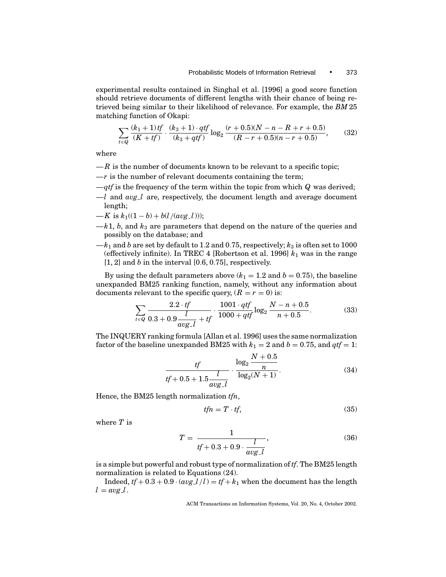experimental results contained in Singhal et al. [1996] a good score function should retrieve documents of different lengths with their chance of being retrieved being similar to their likelihood of relevance. For example, the *BM* 25 matching function of Okapi:

$$
\sum_{t \in Q} \frac{(k_1 + 1)tf}{(K + tf)} \cdot \frac{(k_3 + 1) \cdot qtf}{(k_3 + qtf)} \log_2 \frac{(r + 0.5)(N - n - R + r + 0.5)}{(R - r + 0.5)(n - r + 0.5)},\tag{32}
$$

where

- $-R$  is the number of documents known to be relevant to a specific topic;
- $-r$  is the number of relevant documents containing the term;
- —*qtf* is the frequency of the term within the topic from which *Q* was derived;
- $-l$  and  $avg_l$  are, respectively, the document length and average document length;
- —*K* is  $k_1((1-b) + b(l/(avg_l)))$ ;
- $-k1$ , *b*, and  $k_3$  are parameters that depend on the nature of the queries and possibly on the database; and
- $-k_1$  and *b* are set by default to 1.2 and 0.75, respectively;  $k_3$  is often set to 1000 (effectively infinite). In TREC 4 [Robertson et al. 1996]  $k_1$  was in the range [1, 2] and *b* in the interval [0.6, 0.75], respectively.

By using the default parameters above  $(k_1 = 1.2$  and  $b = 0.75)$ , the baseline unexpanded BM25 ranking function, namely, without any information about documents relevant to the specific query,  $(R = r = 0)$  is:

$$
\sum_{t \in Q} \frac{2.2 \cdot tf}{0.3 + 0.9 \frac{l}{avg\_l} + tf} \cdot \frac{1001 \cdot qtf}{1000 + qtf} \log_2 \frac{N - n + 0.5}{n + 0.5}.
$$
 (33)

The INQUERY ranking formula [Allan et al. 1996] uses the same normalization factor of the baseline unexpanded BM25 with  $k_1 = 2$  and  $b = 0.75$ , and  $qtf = 1$ :

$$
\frac{tf}{tf + 0.5 + 1.5 \frac{l}{avg\_l}} \cdot \frac{\log_2 \frac{N + 0.5}{n}}{\log_2 (N + 1)}.
$$
 (34)

Hence, the BM25 length normalization *tfn*,

$$
tfn = T \cdot tf,\tag{35}
$$

where *T* is

$$
T = \frac{1}{t f + 0.3 + 0.9 \cdot \frac{l}{avg\_l}},
$$
\n(36)

is a simple but powerful and robust type of normalization of *tf*. The BM25 length normalization is related to Equations (24).

Indeed,  $tf + 0.3 + 0.9 \cdot (avg \frac{1}{l}) = tf + k_1$  when the document has the length  $l = avg \, l$ .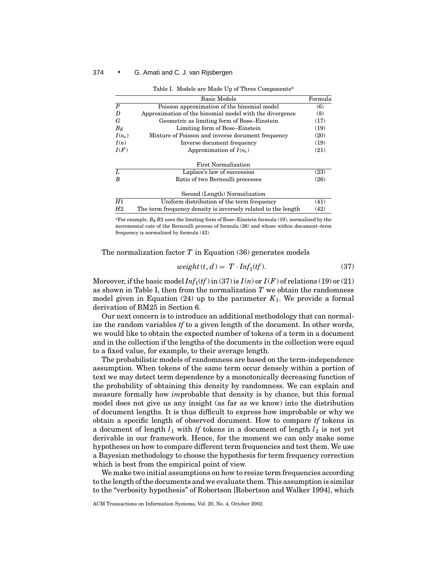|                  | <b>Basic Models</b>                                                                                                                                                                                                                  | Formula |
|------------------|--------------------------------------------------------------------------------------------------------------------------------------------------------------------------------------------------------------------------------------|---------|
| $\boldsymbol{P}$ | Poisson approximation of the binomial model                                                                                                                                                                                          | (6)     |
| D                | Approximation of the binomial model with the divergence                                                                                                                                                                              | (8)     |
| G                | Geometric as limiting form of Bose–Einstein                                                                                                                                                                                          | (17)    |
| $B_E$            | Limiting form of Bose–Einstein                                                                                                                                                                                                       | (19)    |
| $I(n_e)$         | Mixture of Poisson and inverse document frequency                                                                                                                                                                                    | (20)    |
| I(n)             | Inverse document frequency                                                                                                                                                                                                           | (19)    |
| I(F)             | Approximation of $I(n_e)$                                                                                                                                                                                                            | (21)    |
|                  | <b>First Normalization</b>                                                                                                                                                                                                           |         |
| L                | Laplace's law of succession                                                                                                                                                                                                          | (23)    |
| $\boldsymbol{B}$ | Ratio of two Bernoulli processes                                                                                                                                                                                                     | (26)    |
|                  | Second (Length) Normalization                                                                                                                                                                                                        |         |
| H1               | Uniform distribution of the term frequency                                                                                                                                                                                           | (41)    |
| H2               | The term frequency density is inversely related to the length                                                                                                                                                                        | (42)    |
| $\sim$ $-$       | <b>Primerical and Primerical Company of the Company of the Company of the Company of the Company of the Company of the Company of the Company of the Company of the Company of the Company of the Company of the Company of the </b> |         |

Table I. Models are Made Up of Three Components<sup>a</sup>

<sup>a</sup>For example,  $B_E B2$  uses the limiting form of Bose–Einstein formula (19), normalized by the incremental rate of the Bernoulli process of formula (26) and whose within document–term frequency is normalized by formula (42).

The normalization factor *T* in Equation (36) generates models

$$
weight(t, d) = T \cdot Inf_1(tf). \tag{37}
$$

Moreover, if the basic model  $Inf_1(tf)$  in (37) is  $I(n)$  or  $I(F)$  of relations (19) or (21) as shown in Table I, then from the normalization *T* we obtain the randomness model given in Equation  $(24)$  up to the parameter  $K_1$ . We provide a formal derivation of BM25 in Section 6.

Our next concern is to introduce an additional methodology that can normalize the random variables *tf* to a given length of the document. In other words, we would like to obtain the expected number of tokens of a term in a document and in the collection if the lengths of the documents in the collection were equal to a fixed value, for example, to their average length.

The probabilistic models of randomness are based on the term-independence assumption. When tokens of the same term occur densely within a portion of text we may detect term dependence by a monotonically decreasing function of the probability of obtaining this density by randomness. We can explain and measure formally how *im*probable that density is by chance, but this formal model does not give us any insight (as far as we know) into the distribution of document lengths. It is thus difficult to express how improbable or why we obtain a specific length of observed document. How to compare *tf* tokens in a document of length  $l_1$  with *tf* tokens in a document of length  $l_2$  is not yet derivable in our framework. Hence, for the moment we can only make some hypotheses on how to compare different term frequencies and test them. We use a Bayesian methodology to choose the hypothesis for term frequency correction which is best from the empirical point of view.

We make two initial assumptions on how to resize term frequencies according to the length of the documents and we evaluate them. This assumption is similar to the "verbosity hypothesis" of Robertson [Robertson and Walker 1994], which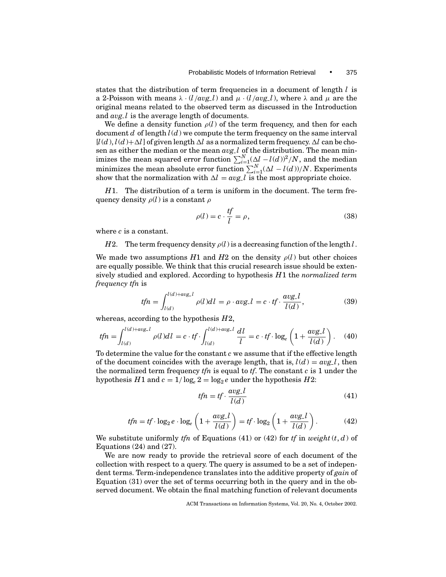states that the distribution of term frequencies in a document of length *l* is a 2-Poisson with means  $\lambda \cdot (l/avg_l)$  and  $\mu \cdot (l/avg_l)$ , where  $\lambda$  and  $\mu$  are the original means related to the observed term as discussed in the Introduction and *avg l* is the average length of documents.

We define a density function  $\rho(l)$  of the term frequency, and then for each document  $d$  of length  $l(d)$  we compute the term frequency on the same interval  $[l(d), l(d)+\Delta l]$  of given length  $\Delta l$  as a normalized term frequency.  $\Delta l$  can be chosen as either the median or the mean *avg l* of the distribution. The mean minimizes the mean squared error function  $\sum_{i=1}^{N} (\Delta_l - l(d))^2/N$ , and the median minimizes the mean absolute error function  $\sum_{i=1}^{N}(\Delta l - l(d))/N$ . Experiments show that the normalization with  $\Delta l = avg \, l$  is the most appropriate choice.

*H*1. The distribution of a term is uniform in the document. The term frequency density  $\rho(l)$  is a constant  $\rho$ 

$$
\rho(l) = c \cdot \frac{tf}{l} = \rho,\tag{38}
$$

where *c* is a constant.

*H*2. The term frequency density  $\rho(l)$  is a decreasing function of the length *l*.

We made two assumptions  $H1$  and  $H2$  on the density  $\rho(l)$  but other choices are equally possible. We think that this crucial research issue should be extensively studied and explored. According to hypothesis *H*1 the *normalized term frequency tfn* is

$$
tfn = \int_{l(d)}^{l(d) + avg_{-}l} \rho(l)dl = \rho \cdot avg_{-}l = c \cdot tf \cdot \frac{avg_{-}l}{l(d)},
$$
\n(39)

whereas, according to the hypothesis *H*2,

$$
tfn = \int_{l(d)}^{l(d) + avg_{-l}} \rho(l)dl = c \cdot tf \cdot \int_{l(d)}^{l(d) + avg_{-l}} \frac{dl}{l} = c \cdot tf \cdot \log_e\left(1 + \frac{avg_{-l}}{l(d)}\right). \tag{40}
$$

To determine the value for the constant *c* we assume that if the effective length of the document coincides with the average length, that is,  $l(d) = avg l$ , then the normalized term frequency *tfn* is equal to *tf*. The constant *c* is 1 under the hypothesis *H*1 and  $c = 1/\log_e 2 = \log_2 e$  under the hypothesis *H*2:

$$
tfn = tf \cdot \frac{avg\_l}{l(d)}\tag{41}
$$

$$
tfn = tf \cdot \log_2 e \cdot \log_e \left( 1 + \frac{avg \cdot l}{l(d)} \right) = tf \cdot \log_2 \left( 1 + \frac{avg \cdot l}{l(d)} \right). \tag{42}
$$

We substitute uniformly *tfn* of Equations (41) or (42) for *tf* in *weight*  $(t, d)$  of Equations  $(24)$  and  $(27)$ .

We are now ready to provide the retrieval score of each document of the collection with respect to a query. The query is assumed to be a set of independent terms. Term-independence translates into the additive property of *gain* of Equation (31) over the set of terms occurring both in the query and in the observed document. We obtain the final matching function of relevant documents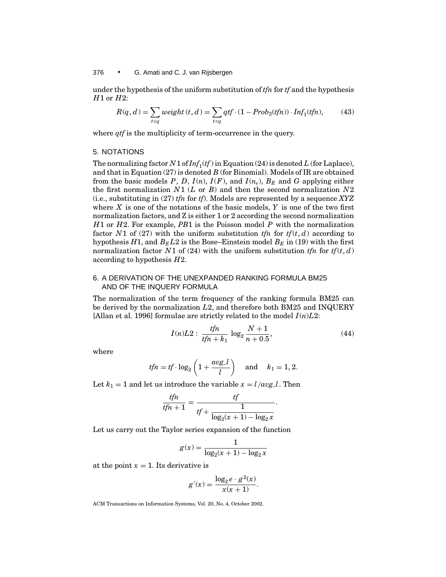under the hypothesis of the uniform substitution of *tfn* for *tf* and the hypothesis *H*1 or *H*2:

$$
R(q, d) = \sum_{t \in q} weight(t, d) = \sum_{t \in q} qtf \cdot (1 - Prob_2(tfn)) \cdot Inf_1(tfn),
$$
 (43)

where *qtf* is the multiplicity of term-occurrence in the query.

#### 5. NOTATIONS

The normalizing factor  $N1$  of  $Inf_1(tf)$  in Equation (24) is denoted *L* (for Laplace), and that in Equation (27) is denoted *B* (for Binomial). Models of IR are obtained from the basic models  $P$ ,  $D$ ,  $I(n)$ ,  $I(F)$ , and  $I(n_e)$ ,  $B_E$  and  $G$  applying either the first normalization *N*1 (*L* or *B*) and then the second normalization *N*2 (i.e., substituting in (27) *tfn* for *tf*). Models are represented by a sequence *XYZ* where *X* is one of the notations of the basic models, *Y* is one of the two first normalization factors, and Z is either 1 or 2 according the second normalization *H*1 or *H*2. For example, *PB*1 is the Poisson model *P* with the normalization factor *N*1 of (27) with the uniform substitution *tfn* for  $tf(t, d)$  according to hypothesis  $H1$ , and  $B_E L2$  is the Bose–Einstein model  $B_E$  in (19) with the first normalization factor *N*1 of (24) with the uniform substitution *tfn* for  $tf(t, d)$ according to hypothesis *H*2.

## 6. A DERIVATION OF THE UNEXPANDED RANKING FORMULA BM25 AND OF THE INQUERY FORMULA

The normalization of the term frequency of the ranking formula BM25 can be derived by the normalization *L*2, and therefore both BM25 and INQUERY [Allan et al. 1996] formulae are strictly related to the model  $I(n)L2$ :

$$
I(n)L2: \frac{tfn}{tfn+k_1} \log_2 \frac{N+1}{n+0.5},\tag{44}
$$

where

$$
tfn = tf \cdot \log_2\left(1 + \frac{avg\_l}{l}\right) \quad \text{and} \quad k_1 = 1, 2.
$$

Let  $k_1 = 1$  and let us introduce the variable  $x = l / avg \, l$ . Then

$$
\frac{tfn}{tfn+1} = \frac{tf}{tf + \frac{1}{\log_2(x+1) - \log_2 x}}.
$$

Let us carry out the Taylor series expansion of the function

$$
g(x)=\frac{1}{\log_2(x+1)-\log_2x}
$$

at the point  $x = 1$ . Its derivative is

$$
g'(x) = \frac{\log_2 e \cdot g^2(x)}{x(x+1)}.
$$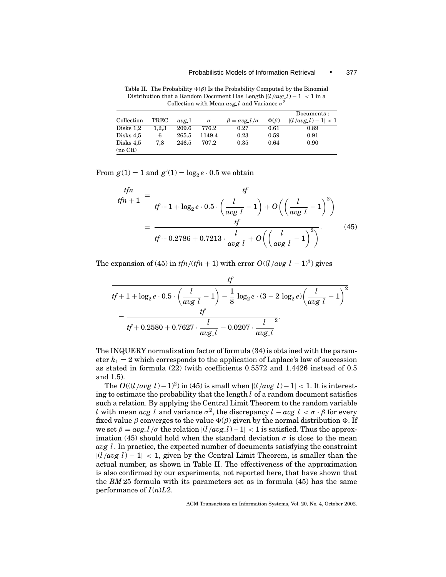|                      |       |       |          |                                 |               | Documents:            |
|----------------------|-------|-------|----------|---------------------------------|---------------|-----------------------|
| Collection           | TREC  | avg 1 | $\sigma$ | $\beta = \alpha v g$ $l/\sigma$ | $\Phi(\beta)$ | $ (l/avg_l) - 1  < 1$ |
| Disks 1,2            | 1.2.3 | 209.6 | 776.2    | 0.27                            | 0.61          | 0.89                  |
| Disks 4,5            | 6     | 265.5 | 1149.4   | 0.23                            | 0.59          | 0.91                  |
| Disks 4,5<br>(no CR) | 7.8   | 246.5 | 707.2    | 0.35                            | 0.64          | 0.90                  |

Table II. The Probability  $\Phi(\beta)$  Is the Probability Computed by the Binomial Distribution that a Random Document Has Length |(*l*/*avg l*) − 1| < 1 in a Collection with Mean  $avg_l$  and Variance  $\sigma^2$ 

From  $g(1) = 1$  and  $g'(1) = \log_2 e \cdot 0.5$  we obtain

$$
\frac{tfn}{tfn+1} = \frac{tf}{tf+1+\log_2 e \cdot 0.5 \cdot \left(\frac{l}{avg\_l} - 1\right) + O\left(\left(\frac{l}{avg\_l} - 1\right)^2\right)}
$$
\n
$$
= \frac{tf}{tf+0.2786 + 0.7213 \cdot \frac{l}{avg\_l} + O\left(\left(\frac{l}{avg\_l} - 1\right)^2\right)}.
$$
\n(45)

The expansion of (45) in  $tfn/(tfn + 1)$  with error  $O((l/avg_1 - 1)^3)$  gives

$$
t f
$$
  

$$
t f + 1 + \log_2 e \cdot 0.5 \cdot \left(\frac{l}{avg_{-}l} - 1\right) - \frac{1}{8} \log_2 e \cdot (3 - 2 \log_2 e) \left(\frac{l}{avg_{-}l} - 1\right)^2
$$
  

$$
= \frac{t f}{tf + 0.2580 + 0.7627 \cdot \frac{l}{avg_{-}l} - 0.0207 \cdot \frac{l}{avg_{-}l}}
$$

The INQUERY normalization factor of formula (34) is obtained with the parameter  $k_1 = 2$  which corresponds to the application of Laplace's law of succession as stated in formula (22) (with coefficients 0.5572 and 1.4426 instead of 0.5 and 1.5).

The  $O((\frac{l}{avg} - l) - 1)^2$ ) in (45) is small when  $|\frac{l}{avg} - l| - 1| < 1$ . It is interesting to estimate the probability that the length *l* of a random document satisfies such a relation. By applying the Central Limit Theorem to the random variable *l* with mean *avg l* and variance  $\sigma^2$ , the discrepancy  $l - avg$   $l < \sigma$  ·  $\beta$  for every fixed value  $\beta$  converges to the value  $\Phi(\beta)$  given by the normal distribution  $\Phi$ . If we set  $\beta = avg_l/\sigma$  the relation  $\left| \frac{l}{avg_l} \right| - 1 \leq 1$  is satisfied. Thus the approximation (45) should hold when the standard deviation  $\sigma$  is close to the mean *avg l*. In practice, the expected number of documents satisfying the constraint  $|(l/avg_l) - 1| < 1$ , given by the Central Limit Theorem, is smaller than the actual number, as shown in Table II. The effectiveness of the approximation is also confirmed by our experiments, not reported here, that have shown that the *BM* 25 formula with its parameters set as in formula (45) has the same performance of  $I(n)L2$ .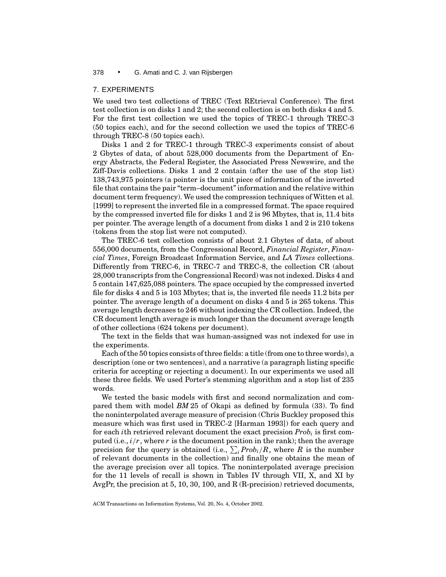#### 7. EXPERIMENTS

We used two test collections of TREC (Text REtrieval Conference). The first test collection is on disks 1 and 2; the second collection is on both disks 4 and 5. For the first test collection we used the topics of TREC-1 through TREC-3 (50 topics each), and for the second collection we used the topics of TREC-6 through TREC-8 (50 topics each).

Disks 1 and 2 for TREC-1 through TREC-3 experiments consist of about 2 Gbytes of data, of about 528,000 documents from the Department of Energy Abstracts, the Federal Register, the Associated Press Newswire, and the Ziff-Davis collections. Disks 1 and 2 contain (after the use of the stop list) 138,743,975 pointers (a pointer is the unit piece of information of the inverted file that contains the pair "term–document" information and the relative within document term frequency). We used the compression techniques of Witten et al. [1999] to represent the inverted file in a compressed format. The space required by the compressed inverted file for disks 1 and 2 is 96 Mbytes, that is, 11.4 bits per pointer. The average length of a document from disks 1 and 2 is 210 tokens (tokens from the stop list were not computed).

The TREC-6 test collection consists of about 2.1 Gbytes of data, of about 556,000 documents, from the Congressional Record, *Financial Register*, *Financial Times*, Foreign Broadcast Information Service, and *LA Times* collections. Differently from TREC-6, in TREC-7 and TREC-8, the collection CR (about 28,000 transcripts from the Congressional Record) was not indexed. Disks 4 and 5 contain 147,625,088 pointers. The space occupied by the compressed inverted file for disks 4 and 5 is 103 Mbytes; that is, the inverted file needs 11.2 bits per pointer. The average length of a document on disks 4 and 5 is 265 tokens. This average length decreases to 246 without indexing the CR collection. Indeed, the CR document length average is much longer than the document average length of other collections (624 tokens per document).

The text in the fields that was human-assigned was not indexed for use in the experiments.

Each of the 50 topics consists of three fields: a title (from one to three words), a description (one or two sentences), and a narrative (a paragraph listing specific criteria for accepting or rejecting a document). In our experiments we used all these three fields. We used Porter's stemming algorithm and a stop list of 235 words.

We tested the basic models with first and second normalization and compared them with model *BM* 25 of Okapi as defined by formula (33). To find the noninterpolated average measure of precision (Chris Buckley proposed this measure which was first used in TREC-2 [Harman 1993]) for each query and for each *i*th retrieved relevant document the exact precision *Prob<sub>i</sub>* is first computed (i.e.,  $i/r$ , where *r* is the document position in the rank); then the average precision for the query is obtained (i.e.,  $\sum_{i} Prob_{i}/R$ , where  $R$  is the number of relevant documents in the collection) and finally one obtains the mean of the average precision over all topics. The noninterpolated average precision for the 11 levels of recall is shown in Tables IV through VII, X, and XI by AvgPr, the precision at 5, 10, 30, 100, and R (R-precision) retrieved documents,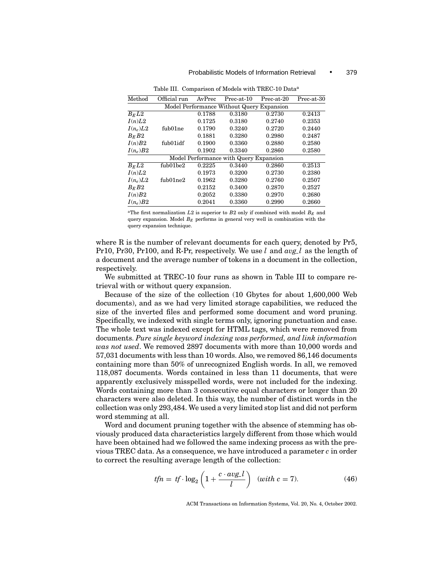| Method             | Official run                              | AvPrec | Prec-at-10                             | Prec-at-20 | Prec-at-30 |  |  |  |  |  |  |
|--------------------|-------------------------------------------|--------|----------------------------------------|------------|------------|--|--|--|--|--|--|
|                    | Model Performance Without Query Expansion |        |                                        |            |            |  |  |  |  |  |  |
| $B_E\overline{L2}$ |                                           | 0.1788 | 0.3180                                 | 0.2730     | 0.2413     |  |  |  |  |  |  |
| I(n)L2             |                                           | 0.1725 | 0.3180                                 | 0.2740     | 0.2353     |  |  |  |  |  |  |
| $I(n_e)L2$         | fub01ne                                   | 0.1790 | 0.3240                                 | 0.2720     | 0.2440     |  |  |  |  |  |  |
| $B_E B2$           |                                           | 0.1881 | 0.3280                                 | 0.2980     | 0.2487     |  |  |  |  |  |  |
| I(n)B2             | fub01idf                                  | 0.1900 | 0.3360                                 | 0.2880     | 0.2580     |  |  |  |  |  |  |
| $I(n_e)B2$         |                                           | 0.1902 | 0.3340                                 | 0.2860     | 0.2580     |  |  |  |  |  |  |
|                    |                                           |        | Model Performance with Query Expansion |            |            |  |  |  |  |  |  |
| $B_E L2$           | fub01be2                                  | 0.2225 | 0.3440                                 | 0.2860     | 0.2513     |  |  |  |  |  |  |
| I(n)L2             |                                           | 0.1973 | 0.3200                                 | 0.2730     | 0.2380     |  |  |  |  |  |  |
| $I(n_e)L2$         | $f_{\text{ub}}$ 01 $ne2$                  | 0.1962 | 0.3280                                 | 0.2760     | 0.2507     |  |  |  |  |  |  |
| $B_E B2$           |                                           | 0.2152 | 0.3400                                 | 0.2870     | 0.2527     |  |  |  |  |  |  |
| I(n)B2             |                                           | 0.2052 | 0.3380                                 | 0.2970     | 0.2680     |  |  |  |  |  |  |
| $I(n_e)B2$         |                                           | 0.2041 | 0.3360                                 | 0.2990     | 0.2660     |  |  |  |  |  |  |

Table III. Comparison of Models with TREC-10 Data<sup>a</sup>

<sup>a</sup>The first normalization  $L2$  is superior to  $B2$  only if combined with model  $B_E$  and query expansion. Model  $B_E$  performs in general very well in combination with the query expansion technique.

where R is the number of relevant documents for each query, denoted by Pr5, Pr10, Pr30, Pr100, and R-Pr, respectively. We use *l* and *avg l* as the length of a document and the average number of tokens in a document in the collection, respectively.

We submitted at TREC-10 four runs as shown in Table III to compare retrieval with or without query expansion.

Because of the size of the collection (10 Gbytes for about 1,600,000 Web documents), and as we had very limited storage capabilities, we reduced the size of the inverted files and performed some document and word pruning. Specifically, we indexed with single terms only, ignoring punctuation and case. The whole text was indexed except for HTML tags, which were removed from documents. *Pure single keyword indexing was performed, and link information was not used*. We removed 2897 documents with more than 10,000 words and 57,031 documents with less than 10 words. Also, we removed 86,146 documents containing more than 50% of unrecognized English words. In all, we removed 118,087 documents. Words contained in less than 11 documents, that were apparently exclusively misspelled words, were not included for the indexing. Words containing more than 3 consecutive equal characters or longer than 20 characters were also deleted. In this way, the number of distinct words in the collection was only 293,484. We used a very limited stop list and did not perform word stemming at all.

Word and document pruning together with the absence of stemming has obviously produced data characteristics largely different from those which would have been obtained had we followed the same indexing process as with the previous TREC data. As a consequence, we have introduced a parameter *c* in order to correct the resulting average length of the collection:

$$
tfn = tf \cdot \log_2\left(1 + \frac{c \cdot avg \cdot l}{l}\right) \quad (with \ c = 7). \tag{46}
$$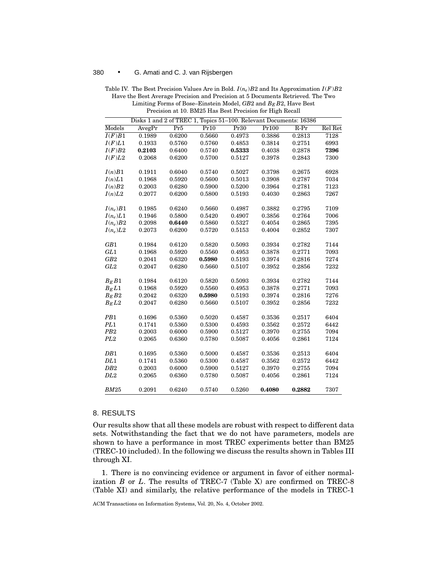|                     | Disks 1 and 2 of TREC 1, Topics 51-100. Relevant Documents: 16386 |        |        |        |        |        |         |  |  |
|---------------------|-------------------------------------------------------------------|--------|--------|--------|--------|--------|---------|--|--|
| Models              | AvegPr                                                            | Pr5    | Pr10   | Pr30   | Pr100  | $R-Pr$ | Rel Ret |  |  |
| $\overline{I(F)B1}$ | 0.1989                                                            | 0.6200 | 0.5660 | 0.4973 | 0.3886 | 0.2813 | 7128    |  |  |
| I(F)L1              | 0.1933                                                            | 0.5760 | 0.5760 | 0.4853 | 0.3814 | 0.2751 | 6993    |  |  |
| I(F)B2              | 0.2103                                                            | 0.6400 | 0.5740 | 0.5333 | 0.4038 | 0.2878 | 7396    |  |  |
| I(F)L2              | 0.2068                                                            | 0.6200 | 0.5700 | 0.5127 | 0.3978 | 0.2843 | 7300    |  |  |
|                     |                                                                   |        |        |        |        |        |         |  |  |
| I(n)B1              | 0.1911                                                            | 0.6040 | 0.5740 | 0.5027 | 0.3798 | 0.2675 | 6928    |  |  |
| I(n)L1              | 0.1968                                                            | 0.5920 | 0.5600 | 0.5013 | 0.3908 | 0.2787 | 7034    |  |  |
| I(n)B2              | 0.2003                                                            | 0.6280 | 0.5900 | 0.5200 | 0.3964 | 0.2781 | 7123    |  |  |
| I(n)L2              | 0.2077                                                            | 0.6200 | 0.5800 | 0.5193 | 0.4030 | 0.2863 | 7267    |  |  |
|                     |                                                                   |        |        |        |        |        |         |  |  |
| $I(n_e)B1$          | 0.1985                                                            | 0.6240 | 0.5660 | 0.4987 | 0.3882 | 0.2795 | 7109    |  |  |
| $I(n_e)L1$          | 0.1946                                                            | 0.5800 | 0.5420 | 0.4907 | 0.3856 | 0.2764 | 7006    |  |  |
| $I(n_e)B2$          | 0.2098                                                            | 0.6440 | 0.5860 | 0.5327 | 0.4054 | 0.2865 | 7395    |  |  |
| $I(n_e)L2$          | 0.2073                                                            | 0.6200 | 0.5720 | 0.5153 | 0.4004 | 0.2852 | 7307    |  |  |
| GB1                 | 0.1984                                                            | 0.6120 | 0.5820 | 0.5093 | 0.3934 | 0.2782 | 7144    |  |  |
| GL1                 | 0.1968                                                            | 0.5920 | 0.5560 | 0.4953 | 0.3878 | 0.2771 | 7093    |  |  |
| GB2                 | 0.2041                                                            | 0.6320 | 0.5980 | 0.5193 | 0.3974 | 0.2816 | 7274    |  |  |
| GL2                 | 0.2047                                                            | 0.6280 | 0.5660 | 0.5107 | 0.3952 | 0.2856 | 7232    |  |  |
|                     |                                                                   |        |        |        |        |        |         |  |  |
| $B_E B1$            | 0.1984                                                            | 0.6120 | 0.5820 | 0.5093 | 0.3934 | 0.2782 | 7144    |  |  |
| $B_E L1$            | 0.1968                                                            | 0.5920 | 0.5560 | 0.4953 | 0.3878 | 0.2771 | 7093    |  |  |
| $B_E B2$            | 0.2042                                                            | 0.6320 | 0.5980 | 0.5193 | 0.3974 | 0.2816 | 7276    |  |  |
| $B_E L2$            | 0.2047                                                            | 0.6280 | 0.5660 | 0.5107 | 0.3952 | 0.2856 | 7232    |  |  |
|                     |                                                                   |        |        |        |        |        |         |  |  |
| PB1                 | 0.1696                                                            | 0.5360 | 0.5020 | 0.4587 | 0.3536 | 0.2517 | 6404    |  |  |
| PL <sub>1</sub>     | 0.1741                                                            | 0.5360 | 0.5300 | 0.4593 | 0.3562 | 0.2572 | 6442    |  |  |
| P <sub>B2</sub>     | 0.2003                                                            | 0.6000 | 0.5900 | 0.5127 | 0.3970 | 0.2755 | 7094    |  |  |
| PL2                 | 0.2065                                                            | 0.6360 | 0.5780 | 0.5087 | 0.4056 | 0.2861 | 7124    |  |  |
| DB1                 | 0.1695                                                            | 0.5360 | 0.5000 | 0.4587 | 0.3536 | 0.2513 | 6404    |  |  |
| DL1                 | 0.1741                                                            | 0.5360 | 0.5300 | 0.4587 | 0.3562 | 0.2572 | 6442    |  |  |
| DB2                 | 0.2003                                                            | 0.6000 | 0.5900 | 0.5127 | 0.3970 | 0.2755 | 7094    |  |  |
| DL2                 | 0.2065                                                            | 0.6360 | 0.5780 | 0.5087 | 0.4056 | 0.2861 | 7124    |  |  |
|                     |                                                                   |        |        |        |        |        |         |  |  |
| <b>BM25</b>         | 0.2091                                                            | 0.6240 | 0.5740 | 0.5260 | 0.4080 | 0.2882 | 7307    |  |  |

Table IV. The Best Precision Values Are in Bold. *I* (*ne*)*B*2 and Its Approximation *I* (*F*)*B*2 Have the Best Average Precision and Precision at 5 Documents Retrieved. The Two Limiting Forms of Bose–Einstein Model, *GB*2 and *BE B*2, Have Best Precision at 10. BM25 Has Best Precision for High Recall

## 8. RESULTS

Our results show that all these models are robust with respect to different data sets. Notwithstanding the fact that we do not have parameters, models are shown to have a performance in most TREC experiments better than BM25 (TREC-10 included). In the following we discuss the results shown in Tables III through XI.

1. There is no convincing evidence or argument in favor of either normalization *B* or *L*. The results of TREC-7 (Table X) are confirmed on TREC-8 (Table XI) and similarly, the relative performance of the models in TREC-1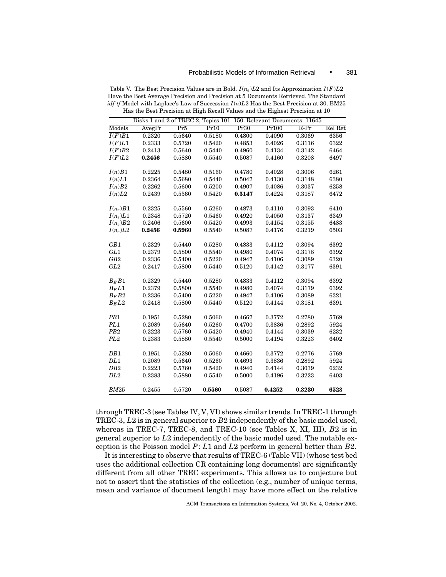|                     | Disks 1 and 2 of TREC 2, Topics 101-150. Relevant Documents: 11645 |        |        |        |        |        |         |
|---------------------|--------------------------------------------------------------------|--------|--------|--------|--------|--------|---------|
| Models              | AvegPr                                                             | Pr5    | Pr10   | Pr30   | Pr100  | $R-Pr$ | Rel Ret |
| $\overline{I(F)B1}$ | 0.2320                                                             | 0.5640 | 0.5180 | 0.4800 | 0.4090 | 0.3069 | 6356    |
| I(F)L1              | 0.2333                                                             | 0.5720 | 0.5420 | 0.4853 | 0.4026 | 0.3116 | 6322    |
| I(F)B2              | 0.2413                                                             | 0.5640 | 0.5440 | 0.4960 | 0.4134 | 0.3142 | 6464    |
| I(F)L2              | 0.2456                                                             | 0.5880 | 0.5540 | 0.5087 | 0.4160 | 0.3208 | 6497    |
| I(n)B1              | 0.2225                                                             | 0.5480 | 0.5160 | 0.4780 | 0.4028 | 0.3006 | 6261    |
| I(n)L1              | 0.2364                                                             | 0.5680 | 0.5440 | 0.5047 | 0.4130 | 0.3148 | 6380    |
| I(n)B2              | 0.2262                                                             | 0.5600 | 0.5200 | 0.4907 | 0.4086 | 0.3037 | 6258    |
| I(n)L2              | 0.2439                                                             | 0.5560 | 0.5420 | 0.5147 | 0.4224 | 0.3187 | 6472    |
| $I(n_e)B1$          | 0.2325                                                             | 0.5560 | 0.5260 | 0.4873 | 0.4110 | 0.3093 | 6410    |
| $I(n_e)L1$          | 0.2348                                                             | 0.5720 | 0.5460 | 0.4920 | 0.4050 | 0.3137 | 6349    |
| $I(n_e)B2$          | 0.2406                                                             | 0.5600 | 0.5420 | 0.4993 | 0.4154 | 0.3155 | 6483    |
| $I(n_e)L2$          | 0.2456                                                             | 0.5960 | 0.5540 | 0.5087 | 0.4176 | 0.3219 | 6503    |
| GB1                 | 0.2329                                                             | 0.5440 | 0.5280 | 0.4833 | 0.4112 | 0.3094 | 6392    |
| GL1                 | 0.2379                                                             | 0.5800 | 0.5540 | 0.4980 | 0.4074 | 0.3178 | 6392    |
| GB2                 | 0.2336                                                             | 0.5400 | 0.5220 | 0.4947 | 0.4106 | 0.3089 | 6320    |
| GL2                 | 0.2417                                                             | 0.5800 | 0.5440 | 0.5120 | 0.4142 | 0.3177 | 6391    |
| $B_E B1$            | 0.2329                                                             | 0.5440 | 0.5280 | 0.4833 | 0.4112 | 0.3094 | 6392    |
| $B_E L1$            | 0.2379                                                             | 0.5800 | 0.5540 | 0.4980 | 0.4074 | 0.3179 | 6392    |
| $B_E B2$            | 0.2336                                                             | 0.5400 | 0.5220 | 0.4947 | 0.4106 | 0.3089 | 6321    |
| $B_E L2$            | 0.2418                                                             | 0.5800 | 0.5440 | 0.5120 | 0.4144 | 0.3181 | 6391    |
| PB1                 | 0.1951                                                             | 0.5280 | 0.5060 | 0.4667 | 0.3772 | 0.2780 | 5769    |
| PL1                 | 0.2089                                                             | 0.5640 | 0.5260 | 0.4700 | 0.3836 | 0.2892 | 5924    |
| PB2                 | 0.2223                                                             | 0.5760 | 0.5420 | 0.4940 | 0.4144 | 0.3039 | 6232    |
| PL <sub>2</sub>     | 0.2383                                                             | 0.5880 | 0.5540 | 0.5000 | 0.4194 | 0.3223 | 6402    |
| DB1                 | 0.1951                                                             | 0.5280 | 0.5060 | 0.4660 | 0.3772 | 0.2776 | 5769    |
| DL1                 | 0.2089                                                             | 0.5640 | 0.5260 | 0.4693 | 0.3836 | 0.2892 | 5924    |
| DB2                 | 0.2223                                                             | 0.5760 | 0.5420 | 0.4940 | 0.4144 | 0.3039 | 6232    |
| DL <sub>2</sub>     | 0.2383                                                             | 0.5880 | 0.5540 | 0.5000 | 0.4196 | 0.3223 | 6403    |
| BM25                | 0.2455                                                             | 0.5720 | 0.5560 | 0.5087 | 0.4252 | 0.3230 | 6523    |

Table V. The Best Precision Values are in Bold. *I* (*ne*)*L*2 and Its Approximation *I* (*F*)*L*2 Have the Best Average Precision and Precision at 5 Documents Retrieved. The Standard *idf*-*tf* Model with Laplace's Law of Succession *I* (*n*)*L*2 Has the Best Precision at 30. BM25 Has the Best Precision at High Recall Values and the Highest Precision at 10

through TREC-3 (see Tables IV, V, VI) shows similar trends. In TREC-1 through TREC-3, *L*2 is in general superior to *B*2 independently of the basic model used, whereas in TREC-7, TREC-8, and TREC-10 (see Tables X, XI, III), *B*2 is in general superior to *L*2 independently of the basic model used. The notable exception is the Poisson model *P*: *L*1 and *L*2 perform in general better than *B*2.

It is interesting to observe that results of TREC-6 (Table VII) (whose test bed uses the additional collection CR containing long documents) are significantly different from all other TREC experiments. This allows us to conjecture but not to assert that the statistics of the collection (e.g., number of unique terms, mean and variance of document length) may have more effect on the relative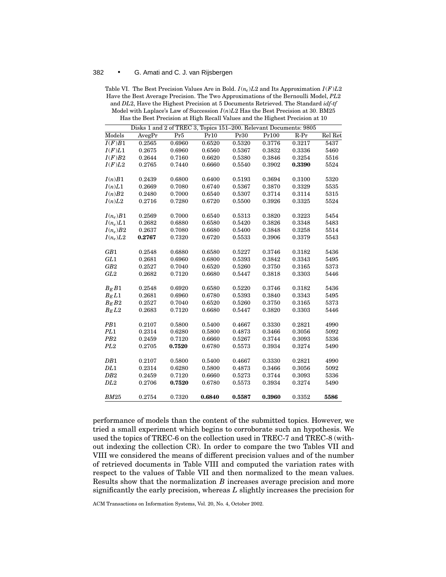Table VI. The Best Precision Values Are in Bold.  $I(n_e)L2$  and Its Approximation  $I(F)L2$ Have the Best Average Precision. The Two Approximations of the Bernoulli Model, *PL*2 and *DL*2, Have the Highest Precision at 5 Documents Retrieved. The Standard *idf*-*tf* Model with Laplace's Law of Succession *I* (*n*)*L*2 Has the Best Precision at 30. BM25 Has the Best Precision at High Recall Values and the Highest Precision at 10

|                        | Disks 1 and 2 of TREC 3, Topics 151-200. Relevant Documents: 9805 |                  |                  |                  |                  |                  |              |
|------------------------|-------------------------------------------------------------------|------------------|------------------|------------------|------------------|------------------|--------------|
| Models                 | AvegPr                                                            | Pr5              | Pr10             | Pr30             | Pr100            | $R-Pr$           | Rel Ret      |
| $\overline{I(F)B1}$    | 0.2565                                                            | 0.6960           | 0.6520           | 0.5320           | 0.3776           | 0.3217           | 5437         |
| I(F)L1                 | 0.2675                                                            | 0.6960           | 0.6560           | 0.5367           | 0.3832           | 0.3336           | 5460         |
| I(F)B2                 | 0.2644                                                            | 0.7160           | 0.6620           | 0.5380           | 0.3846           | 0.3254           | 5516         |
| I(F)L2                 | 0.2765                                                            | 0.7440           | 0.6660           | 0.5540           | 0.3902           | 0.3390           | 5524         |
|                        |                                                                   |                  |                  |                  |                  |                  |              |
| I(n)B1                 | 0.2439                                                            | 0.6800           | 0.6400           | 0.5193           | 0.3694           | 0.3100           | 5320         |
| I(n)L1                 | 0.2669                                                            | 0.7080           | 0.6740           | 0.5367           | 0.3870           | 0.3329           | 5535         |
| I(n)B2                 | 0.2480                                                            | 0.7000           | 0.6540           | 0.5307           | 0.3714           | 0.3114           | 5315         |
| I(n)L2                 | 0.2716                                                            | 0.7280           | 0.6720           | 0.5500           | 0.3926           | 0.3325           | 5524         |
|                        |                                                                   |                  |                  |                  |                  |                  |              |
| $I(n_e)B1$             | 0.2569                                                            | 0.7000           | 0.6540           | 0.5313           | 0.3820           | 0.3223           | 5454         |
| $I(n_e)L1$             | 0.2682                                                            | 0.6880           | 0.6580           | 0.5420           | 0.3826           | 0.3348           | 5483         |
| $I(n_e)B2$             | 0.2637                                                            | 0.7080           | 0.6680           | 0.5400           | 0.3848           | 0.3258           | 5514         |
| $I(n_e)L2$             | 0.2767                                                            | 0.7320           | 0.6720           | 0.5533           | 0.3906           | 0.3379           | 5543         |
|                        |                                                                   |                  |                  |                  |                  |                  |              |
| GB1                    | 0.2548                                                            | 0.6880           | 0.6580           | 0.5227           | 0.3746           | 0.3182           | 5436         |
| GL1                    | 0.2681                                                            | 0.6960           | 0.6800           | 0.5393           | 0.3842           | 0.3343           | 5495         |
| GB2                    | 0.2527                                                            | 0.7040           | 0.6520           | 0.5260           | 0.3750           | 0.3165           | 5373         |
| GL2                    | 0.2682                                                            | 0.7120           | 0.6680           | 0.5447           | 0.3818           | 0.3303           | 5446         |
|                        |                                                                   |                  |                  |                  |                  |                  |              |
| $B_E B1$               | 0.2548                                                            | 0.6920           | 0.6580           | 0.5220           | 0.3746           | 0.3182           | 5436         |
| $B_E L1$               | 0.2681                                                            | 0.6960           | 0.6780           | 0.5393           | 0.3840           | 0.3343           | 5495         |
| $B_E B2$               | 0.2527                                                            | 0.7040           | 0.6520           | 0.5260           | 0.3750           | 0.3165           | 5373         |
| $B_E L2$               | 0.2683                                                            | 0.7120           | 0.6680           | 0.5447           | 0.3820           | 0.3303           | 5446         |
|                        |                                                                   |                  |                  |                  |                  |                  |              |
| PB1<br>PL <sub>1</sub> | 0.2107<br>0.2314                                                  | 0.5800<br>0.6280 | 0.5400<br>0.5800 | 0.4667<br>0.4873 | 0.3330<br>0.3466 | 0.2821<br>0.3056 | 4990<br>5092 |
| P <sub>B2</sub>        | 0.2459                                                            | 0.7120           | 0.6660           | 0.5267           | 0.3744           | 0.3093           | 5336         |
| PL <sub>2</sub>        | 0.2705                                                            |                  | 0.6780           |                  | 0.3934           | 0.3274           |              |
|                        |                                                                   | 0.7520           |                  | 0.5573           |                  |                  | 5490         |
| DB1                    | 0.2107                                                            | 0.5800           | 0.5400           | 0.4667           | 0.3330           | 0.2821           | 4990         |
| DL1                    | 0.2314                                                            | 0.6280           | 0.5800           | 0.4873           | 0.3466           | 0.3056           | 5092         |
| DB2                    | 0.2459                                                            | 0.7120           | 0.6660           | 0.5273           | 0.3744           | 0.3093           | 5336         |
| DL2                    | 0.2706                                                            | 0.7520           | 0.6780           | 0.5573           | 0.3934           | 0.3274           | 5490         |
|                        |                                                                   |                  |                  |                  |                  |                  |              |
| BM25                   | 0.2754                                                            | 0.7320           | 0.6840           | 0.5587           | 0.3960           | 0.3352           | 5586         |

performance of models than the content of the submitted topics. However, we tried a small experiment which begins to corroborate such an hypothesis. We used the topics of TREC-6 on the collection used in TREC-7 and TREC-8 (without indexing the collection CR). In order to compare the two Tables VII and VIII we considered the means of different precision values and of the number of retrieved documents in Table VIII and computed the variation rates with respect to the values of Table VII and then normalized to the mean values. Results show that the normalization *B* increases average precision and more significantly the early precision, whereas *L* slightly increases the precision for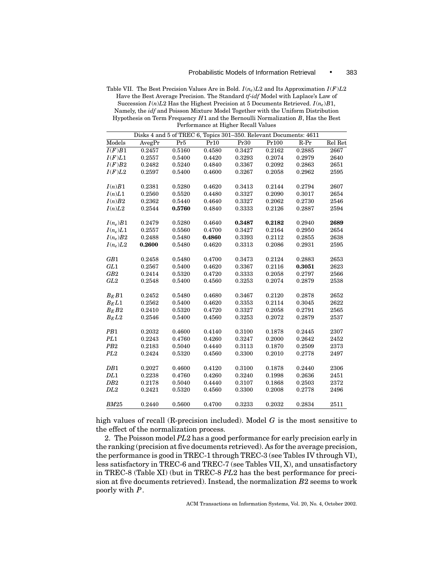Table VII. The Best Precision Values Are in Bold. *I* (*ne*)*L*2 and Its Approximation *I* (*F*)*L*2 Have the Best Average Precision. The Standard *tf*-*idf* Model with Laplace's Law of Succession  $I(n)L2$  Has the Highest Precision at 5 Documents Retrieved.  $I(n_e)B1$ , Namely, the *idf* and Poisson Mixture Model Together with the Uniform Distribution Hypothesis on Term Frequency *H*1 and the Bernoulli Normalization *B*, Has the Best Performance at Higher Recall Values

|                     | Disks 4 and 5 of TREC 6, Topics 301-350. Relevant Documents: 4611 |        |        |        |        |        |         |  |  |
|---------------------|-------------------------------------------------------------------|--------|--------|--------|--------|--------|---------|--|--|
| Models              | AvegPr                                                            | Pr5    | Pr10   | Pr30   | Pr100  | $R-Pr$ | Rel Ret |  |  |
| $\overline{I(F)B1}$ | 0.2457                                                            | 0.5160 | 0.4580 | 0.3427 | 0.2162 | 0.2885 | 2667    |  |  |
| I(F)L1              | 0.2557                                                            | 0.5400 | 0.4420 | 0.3293 | 0.2074 | 0.2979 | 2640    |  |  |
| I(F)B2              | 0.2482                                                            | 0.5240 | 0.4840 | 0.3367 | 0.2092 | 0.2863 | 2651    |  |  |
| I(F)L2              | 0.2597                                                            | 0.5400 | 0.4600 | 0.3267 | 0.2058 | 0.2962 | 2595    |  |  |
| I(n)B1              | 0.2381                                                            | 0.5280 | 0.4620 | 0.3413 | 0.2144 | 0.2794 | 2607    |  |  |
| I(n)L1              | 0.2560                                                            | 0.5520 | 0.4480 | 0.3327 | 0.2090 | 0.3017 | 2654    |  |  |
| I(n)B2              | 0.2362                                                            | 0.5440 | 0.4640 | 0.3327 | 0.2062 | 0.2730 | 2546    |  |  |
| I(n)L2              | 0.2544                                                            | 0.5760 | 0.4840 | 0.3333 | 0.2126 | 0.2887 | 2594    |  |  |
| $I(n_e)B1$          | 0.2479                                                            | 0.5280 | 0.4640 | 0.3487 | 0.2182 | 0.2940 | 2689    |  |  |
| $I(n_e)L1$          | 0.2557                                                            | 0.5560 | 0.4700 | 0.3427 | 0.2164 | 0.2950 | 2654    |  |  |
| $I(n_e)B2$          | 0.2488                                                            | 0.5480 | 0.4860 | 0.3393 | 0.2112 | 0.2855 | 2638    |  |  |
| $I(n_e)L2$          | 0.2600                                                            | 0.5480 | 0.4620 | 0.3313 | 0.2086 | 0.2931 | 2595    |  |  |
| GB1                 | 0.2458                                                            | 0.5480 | 0.4700 | 0.3473 | 0.2124 | 0.2883 | 2653    |  |  |
| GL1                 | 0.2567                                                            | 0.5400 | 0.4620 | 0.3367 | 0.2116 | 0.3051 | 2623    |  |  |
| GB2                 | 0.2414                                                            | 0.5320 | 0.4720 | 0.3333 | 0.2058 | 0.2797 | 2566    |  |  |
| GL2                 | 0.2548                                                            | 0.5400 | 0.4560 | 0.3253 | 0.2074 | 0.2879 | 2538    |  |  |
| $B_E B1$            | 0.2452                                                            | 0.5480 | 0.4680 | 0.3467 | 0.2120 | 0.2878 | 2652    |  |  |
| $B_E L1$            | 0.2562                                                            | 0.5400 | 0.4620 | 0.3353 | 0.2114 | 0.3045 | 2622    |  |  |
| $B_E B2$            | 0.2410                                                            | 0.5320 | 0.4720 | 0.3327 | 0.2058 | 0.2791 | 2565    |  |  |
| $B_E L2$            | 0.2546                                                            | 0.5400 | 0.4560 | 0.3253 | 0.2072 | 0.2879 | 2537    |  |  |
| PB <sub>1</sub>     | 0.2032                                                            | 0.4600 | 0.4140 | 0.3100 | 0.1878 | 0.2445 | 2307    |  |  |
| PL <sub>1</sub>     | 0.2243                                                            | 0.4760 | 0.4260 | 0.3247 | 0.2000 | 0.2642 | 2452    |  |  |
| PB <sub>2</sub>     | 0.2183                                                            | 0.5040 | 0.4440 | 0.3113 | 0.1870 | 0.2509 | 2373    |  |  |
| PL <sub>2</sub>     | 0.2424                                                            | 0.5320 | 0.4560 | 0.3300 | 0.2010 | 0.2778 | 2497    |  |  |
| DB1                 | 0.2027                                                            | 0.4600 | 0.4120 | 0.3100 | 0.1878 | 0.2440 | 2306    |  |  |
| DL1                 | 0.2238                                                            | 0.4760 | 0.4260 | 0.3240 | 0.1998 | 0.2636 | 2451    |  |  |
| DB <sub>2</sub>     | 0.2178                                                            | 0.5040 | 0.4440 | 0.3107 | 0.1868 | 0.2503 | 2372    |  |  |
| DL2                 | 0.2421                                                            | 0.5320 | 0.4560 | 0.3300 | 0.2008 | 0.2778 | 2496    |  |  |
| BM25                | 0.2440                                                            | 0.5600 | 0.4700 | 0.3233 | 0.2032 | 0.2834 | 2511    |  |  |

high values of recall (R-precision included). Model *G* is the most sensitive to the effect of the normalization process.

2. The Poisson model *PL*2 has a good performance for early precision early in the ranking (precision at five documents retrieved). As for the average precision, the performance is good in TREC-1 through TREC-3 (see Tables IV through VI), less satisfactory in TREC-6 and TREC-7 (see Tables VII, X), and unsatisfactory in TREC-8 (Table XI) (but in TREC-8 *PL*2 has the best performance for precision at five documents retrieved). Instead, the normalization *B*2 seems to work poorly with *P*.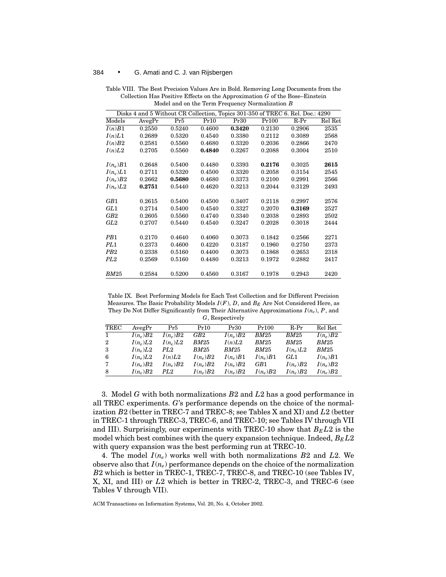|                 | Disks 4 and 5 Without CR Collection, Topics 301-350 of TREC 6. Rel. Doc.: 4290 |        |        |        |        |        |         |  |  |
|-----------------|--------------------------------------------------------------------------------|--------|--------|--------|--------|--------|---------|--|--|
| Models          | AvegPr                                                                         | Pr5    | Pr10   | Pr30   | Pr100  | $R-Pr$ | Rel Ret |  |  |
| I(n)B1          | 0.2550                                                                         | 0.5240 | 0.4600 | 0.3420 | 0.2130 | 0.2906 | 2535    |  |  |
| I(n)L1          | 0.2689                                                                         | 0.5320 | 0.4540 | 0.3380 | 0.2112 | 0.3089 | 2568    |  |  |
| I(n)B2          | 0.2581                                                                         | 0.5560 | 0.4680 | 0.3320 | 0.2036 | 0.2866 | 2470    |  |  |
| I(n)L2          | 0.2705                                                                         | 0.5560 | 0.4840 | 0.3267 | 0.2088 | 0.3004 | 2510    |  |  |
| $I(n_e)B1$      | 0.2648                                                                         | 0.5400 | 0.4480 | 0.3393 | 0.2176 | 0.3025 | 2615    |  |  |
| $I(n_e)L1$      | 0.2711                                                                         | 0.5320 | 0.4500 | 0.3320 | 0.2058 | 0.3154 | 2545    |  |  |
| $I(n_e)B2$      | 0.2662                                                                         | 0.5680 | 0.4680 | 0.3373 | 0.2100 | 0.2991 | 2566    |  |  |
| $I(n_e)L2$      | 0.2751                                                                         | 0.5440 | 0.4620 | 0.3213 | 0.2044 | 0.3129 | 2493    |  |  |
| GB1             | 0.2615                                                                         | 0.5400 | 0.4500 | 0.3407 | 0.2118 | 0.2997 | 2576    |  |  |
| GL1             | 0.2714                                                                         | 0.5400 | 0.4540 | 0.3327 | 0.2070 | 0.3169 | 2527    |  |  |
| GB2             | 0.2605                                                                         | 0.5560 | 0.4740 | 0.3340 | 0.2038 | 0.2893 | 2502    |  |  |
| GL2             | 0.2707                                                                         | 0.5440 | 0.4540 | 0.3247 | 0.2028 | 0.3018 | 2444    |  |  |
| PB <sub>1</sub> | 0.2170                                                                         | 0.4640 | 0.4060 | 0.3073 | 0.1842 | 0.2566 | 2271    |  |  |
| PL <sub>1</sub> | 0.2373                                                                         | 0.4600 | 0.4220 | 0.3187 | 0.1960 | 0.2750 | 2373    |  |  |
| PB <sub>2</sub> | 0.2338                                                                         | 0.5160 | 0.4400 | 0.3073 | 0.1868 | 0.2653 | 2318    |  |  |
| PL2             | 0.2569                                                                         | 0.5160 | 0.4480 | 0.3213 | 0.1972 | 0.2882 | 2417    |  |  |
| <b>BM25</b>     | 0.2584                                                                         | 0.5200 | 0.4560 | 0.3167 | 0.1978 | 0.2943 | 2420    |  |  |

Table VIII. The Best Precision Values Are in Bold. Removing Long Documents from the Collection Has Positive Effects on the Approximation *G* of the Bose–Einstein Model and on the Term Frequency Normalization *B*

Table IX. Best Performing Models for Each Test Collection and for Different Precision Measures. The Basic Probability Models  $I(F)$ , D, and  $B_F$  Are Not Considered Here, as They Do Not Differ Significantly from Their Alternative Approximations  $I(n_e)$ ,  $P$ , and *G*, Respectively

| TREC | AvegPr     | Pr5        | Pr10        | Pr30       | Pr100        | $R-Pr$          | Rel Ret      |
|------|------------|------------|-------------|------------|--------------|-----------------|--------------|
|      | $I(n_e)B2$ | $I(n_e)B2$ | GB2         | $I(n_e)B2$ | BM25         | BM25            | $I(n_e)B2$   |
| 2    | $I(n_e)L2$ | $I(n_e)L2$ | <b>BM25</b> | I(n)L2     | BM25         | BM25            | BM25         |
| -3   | $I(n_e)L2$ | PL2        | <b>BM25</b> | BM25       | <i>BM</i> 25 | $I(n_e)L2$      | <i>BM</i> 25 |
| -6   | $I(n_e)L2$ | I(n)L2     | $I(n_e)B2$  | $I(n_e)B1$ | $I(n_e)B1$   | GL <sub>1</sub> | $I(n_e)B1$   |
| 7    | $I(n_e)B2$ | $I(n_e)B2$ | $I(n_e)B2$  | $I(n_e)B2$ | GB1          | $I(n_e)B2$      | $I(n_e)B2$   |
| -8   | $I(n_e)B2$ | PL2        | $I(n_e)B2$  | $I(n_e)B2$ | $I(n_e)B2$   | $I(n_e)B2$      | $I(n_e)B2$   |

3. Model *G* with both normalizations *B*2 and *L*2 has a good performance in all TREC experiments. *G*'s performance depends on the choice of the normalization *B*2 (better in TREC-7 and TREC-8; see Tables X and XI) and *L*2 (better in TREC-1 through TREC-3, TREC-6, and TREC-10; see Tables IV through VII and III). Surprisingly, our experiments with TREC-10 show that  $B_E L2$  is the model which best combines with the query expansion technique. Indeed,  $B_E L2$ with query expansion was the best performing run at TREC-10.

4. The model  $I(n_e)$  works well with both normalizations  $B2$  and  $L2$ . We observe also that  $I(n_e)$  performance depends on the choice of the normalization *B*2 which is better in TREC-1, TREC-7, TREC-8, and TREC-10 (see Tables IV, X, XI, and III) or *L*2 which is better in TREC-2, TREC-3, and TREC-6 (see Tables V through VII).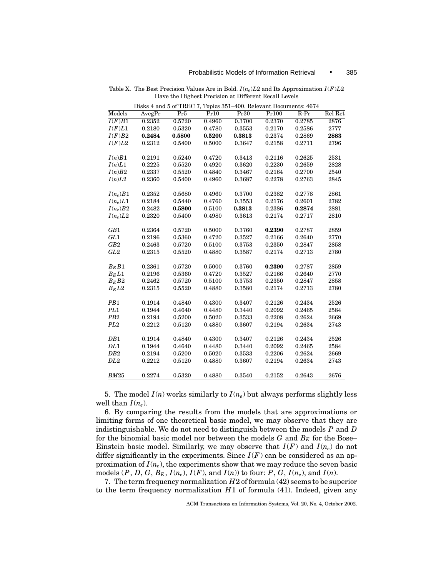|                 | Disks 4 and 5 of TREC 7, Topics 351-400. Relevant Documents: 4674 |                 |        |        |        |        |         |
|-----------------|-------------------------------------------------------------------|-----------------|--------|--------|--------|--------|---------|
| Models          | AvegPr                                                            | Pr <sub>5</sub> | Pr10   | Pr30   | Pr100  | $R-Pr$ | Rel Ret |
| I(F)B1          | 0.2352                                                            | 0.5720          | 0.4960 | 0.3700 | 0.2370 | 0.2785 | 2876    |
| I(F)L1          | 0.2180                                                            | 0.5320          | 0.4780 | 0.3553 | 0.2170 | 0.2586 | 2777    |
| I(F)B2          | 0.2484                                                            | 0.5800          | 0.5200 | 0.3813 | 0.2374 | 0.2869 | 2883    |
| I(F)L2          | 0.2312                                                            | 0.5400          | 0.5000 | 0.3647 | 0.2158 | 0.2711 | 2796    |
| I(n)B1          | 0.2191                                                            | 0.5240          | 0.4720 | 0.3413 | 0.2116 | 0.2625 | 2531    |
| I(n)L1          | 0.2225                                                            | 0.5520          | 0.4920 | 0.3620 | 0.2230 | 0.2659 | 2828    |
| I(n)B2          | 0.2337                                                            | 0.5520          | 0.4840 | 0.3467 | 0.2164 | 0.2700 | 2540    |
| I(n)L2          | 0.2360                                                            | 0.5400          | 0.4960 | 0.3687 | 0.2278 | 0.2763 | 2845    |
| $I(n_e)B1$      | 0.2352                                                            | 0.5680          | 0.4960 | 0.3700 | 0.2382 | 0.2778 | 2861    |
| $I(n_e)L1$      | 0.2184                                                            | 0.5440          | 0.4760 | 0.3553 | 0.2176 | 0.2601 | 2782    |
| $I(n_e)B2$      | 0.2482                                                            | 0.5800          | 0.5100 | 0.3813 | 0.2386 | 0.2874 | 2881    |
| $I(n_e)L2$      | 0.2320                                                            | 0.5400          | 0.4980 | 0.3613 | 0.2174 | 0.2717 | 2810    |
| GB1             | 0.2364                                                            | 0.5720          | 0.5000 | 0.3760 | 0.2390 | 0.2787 | 2859    |
| GL1             | 0.2196                                                            | 0.5360          | 0.4720 | 0.3527 | 0.2166 | 0.2640 | 2770    |
| GB2             | 0.2463                                                            | 0.5720          | 0.5100 | 0.3753 | 0.2350 | 0.2847 | 2858    |
| GL2             | 0.2315                                                            | 0.5520          | 0.4880 | 0.3587 | 0.2174 | 0.2713 | 2780    |
| $B_E B1$        | 0.2361                                                            | 0.5720          | 0.5000 | 0.3760 | 0.2390 | 0.2787 | 2859    |
| $B_E L1$        | 0.2196                                                            | 0.5360          | 0.4720 | 0.3527 | 0.2166 | 0.2640 | 2770    |
| $B_E B2$        | 0.2462                                                            | 0.5720          | 0.5100 | 0.3753 | 0.2350 | 0.2847 | 2858    |
| $B_E L2$        | 0.2315                                                            | 0.5520          | 0.4880 | 0.3580 | 0.2174 | 0.2713 | 2780    |
| PB <sub>1</sub> | 0.1914                                                            | 0.4840          | 0.4300 | 0.3407 | 0.2126 | 0.2434 | 2526    |
| PL1             | 0.1944                                                            | 0.4640          | 0.4480 | 0.3440 | 0.2092 | 0.2465 | 2584    |
| P <sub>B2</sub> | 0.2194                                                            | 0.5200          | 0.5020 | 0.3533 | 0.2208 | 0.2624 | 2669    |
| PL2             | 0.2212                                                            | 0.5120          | 0.4880 | 0.3607 | 0.2194 | 0.2634 | 2743    |
| DB1             | 0.1914                                                            | 0.4840          | 0.4300 | 0.3407 | 0.2126 | 0.2434 | 2526    |
| DL1             | 0.1944                                                            | 0.4640          | 0.4480 | 0.3440 | 0.2092 | 0.2465 | 2584    |
| DB2             | 0.2194                                                            | 0.5200          | 0.5020 | 0.3533 | 0.2206 | 0.2624 | 2669    |
| DL2             | 0.2212                                                            | 0.5120          | 0.4880 | 0.3607 | 0.2194 | 0.2634 | 2743    |
| BM25            | 0.2274                                                            | 0.5320          | 0.4880 | 0.3540 | 0.2152 | 0.2643 | 2676    |

Table X. The Best Precision Values Are in Bold. *I* (*ne*)*L*2 and Its Approximation *I* (*F*)*L*2 Have the Highest Precision at Different Recall Levels

5. The model  $I(n)$  works similarly to  $I(n_e)$  but always performs slightly less well than  $I(n_e)$ .

6. By comparing the results from the models that are approximations or limiting forms of one theoretical basic model, we may observe that they are indistinguishable. We do not need to distinguish between the models *P* and *D* for the binomial basic model nor between the models  $G$  and  $B<sub>E</sub>$  for the Bose– Einstein basic model. Similarly, we may observe that  $I(F)$  and  $I(n_e)$  do not differ significantly in the experiments. Since  $I(F)$  can be considered as an approximation of  $I(n_e)$ , the experiments show that we may reduce the seven basic models  $(P, D, G, B_E, I(n_e), I(F)$ , and  $I(n)$ ) to four:  $P, G, I(n_e)$ , and  $I(n)$ .

7. The term frequency normalization *H*2 of formula (42) seems to be superior to the term frequency normalization *H*1 of formula (41). Indeed, given any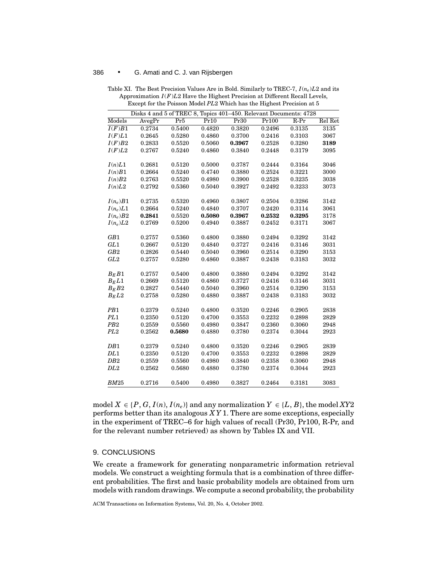|                     | Disks 4 and 5 of TREC 8, Topics 401-450. Relevant Documents: 4728 |        |        |                  |                  |        |         |
|---------------------|-------------------------------------------------------------------|--------|--------|------------------|------------------|--------|---------|
| Models              | AvegPr                                                            | Pr5    | Pr10   | Pr30             | Pr100            | $R-Pr$ | Rel Ret |
| $\overline{I(F)B1}$ | 0.2734                                                            | 0.5400 | 0.4820 | 0.3820           | 0.2496           | 0.3135 | 3135    |
| I(F)L1              | 0.2645                                                            | 0.5280 | 0.4860 | 0.3700           | 0.2416           | 0.3103 | 3067    |
| I(F)B2              | 0.2833                                                            | 0.5520 | 0.5060 | 0.3967           | 0.2528           | 0.3280 | 3189    |
| I(F)L2              | 0.2767                                                            | 0.5240 | 0.4860 | 0.3840           | 0.2448           | 0.3179 | 3095    |
|                     |                                                                   |        |        |                  |                  |        |         |
| I(n)L1              | 0.2681                                                            | 0.5120 | 0.5000 | 0.3787           | 0.2444           | 0.3164 | 3046    |
| I(n)B1              | 0.2664                                                            | 0.5240 | 0.4740 | 0.3880           | 0.2524           | 0.3221 | 3000    |
| I(n)B2              | 0.2763                                                            | 0.5520 | 0.4980 | 0.3900           | 0.2528           | 0.3235 | 3038    |
| I(n)L2              | 0.2792                                                            | 0.5360 | 0.5040 | 0.3927           | 0.2492           | 0.3233 | 3073    |
|                     |                                                                   |        |        |                  |                  |        |         |
| $I(n_e)B1$          | 0.2735                                                            | 0.5320 | 0.4960 | 0.3807           | 0.2504           | 0.3286 | 3142    |
| $I(n_e)L1$          | 0.2664                                                            | 0.5240 | 0.4840 | 0.3707           | 0.2420           | 0.3114 | 3061    |
| $I(n_e)B2$          | 0.2841                                                            | 0.5520 | 0.5080 | 0.3967           | 0.2532           | 0.3295 | 3178    |
| $I(n_e)L2$          | 0.2769                                                            | 0.5200 | 0.4940 | 0.3887           | 0.2452           | 0.3171 | 3067    |
|                     |                                                                   |        |        |                  |                  |        |         |
| GB1                 | 0.2757                                                            | 0.5360 | 0.4800 | 0.3880           | 0.2494           | 0.3292 | 3142    |
| GL1                 | 0.2667                                                            | 0.5120 | 0.4840 | 0.3727<br>0.3960 | 0.2416<br>0.2514 | 0.3146 | 3031    |
| GB2<br>GL2          | 0.2826                                                            | 0.5440 | 0.5040 |                  | 0.2438           | 0.3290 | 3153    |
|                     | 0.2757                                                            | 0.5280 | 0.4860 | 0.3887           |                  | 0.3183 | 3032    |
| $B_E B1$            | 0.2757                                                            | 0.5400 | 0.4800 | 0.3880           | 0.2494           | 0.3292 | 3142    |
| $B_E L1$            | 0.2669                                                            | 0.5120 | 0.4860 | 0.3727           | 0.2416           | 0.3146 | 3031    |
| $B_E B2$            | 0.2827                                                            | 0.5440 | 0.5040 | 0.3960           | 0.2514           | 0.3290 | 3153    |
| $B_E L2$            | 0.2758                                                            | 0.5280 | 0.4880 | 0.3887           | 0.2438           | 0.3183 | 3032    |
|                     |                                                                   |        |        |                  |                  |        |         |
| PB1                 | 0.2379                                                            | 0.5240 | 0.4800 | 0.3520           | 0.2246           | 0.2905 | 2838    |
| PL1                 | 0.2350                                                            | 0.5120 | 0.4700 | 0.3553           | 0.2232           | 0.2898 | 2829    |
| PB2                 | 0.2559                                                            | 0.5560 | 0.4980 | 0.3847           | 0.2360           | 0.3060 | 2948    |
| PL <sub>2</sub>     | 0.2562                                                            | 0.5680 | 0.4880 | 0.3780           | 0.2374           | 0.3044 | 2923    |
|                     |                                                                   |        |        |                  |                  |        |         |
| DB1                 | 0.2379                                                            | 0.5240 | 0.4800 | 0.3520           | 0.2246           | 0.2905 | 2839    |
| DL1                 | 0.2350                                                            | 0.5120 | 0.4700 | 0.3553           | 0.2232           | 0.2898 | 2829    |
| DB2                 | 0.2559                                                            | 0.5560 | 0.4980 | 0.3840           | 0.2358           | 0.3060 | 2948    |
| DL2                 | 0.2562                                                            | 0.5680 | 0.4880 | 0.3780           | 0.2374           | 0.3044 | 2923    |
|                     |                                                                   |        |        |                  |                  |        |         |
| BM25                | 0.2716                                                            | 0.5400 | 0.4980 | 0.3827           | 0.2464           | 0.3181 | 3083    |

Table XI. The Best Precision Values Are in Bold. Similarly to TREC-7, *I* (*ne*)*L*2 and its Approximation *I* (*F*)*L*2 Have the Highest Precision at Different Recall Levels, Except for the Poisson Model *PL*2 Which has the Highest Precision at 5

model  $X \in \{P, G, I(n), I(n_e)\}$  and any normalization  $Y \in \{L, B\}$ , the model *XY2* performs better than its analogous *X Y* 1. There are some exceptions, especially in the experiment of TREC–6 for high values of recall (Pr30, Pr100, R-Pr, and for the relevant number retrieved) as shown by Tables IX and VII.

# 9. CONCLUSIONS

We create a framework for generating nonparametric information retrieval models. We construct a weighting formula that is a combination of three different probabilities. The first and basic probability models are obtained from urn models with random drawings. We compute a second probability, the probability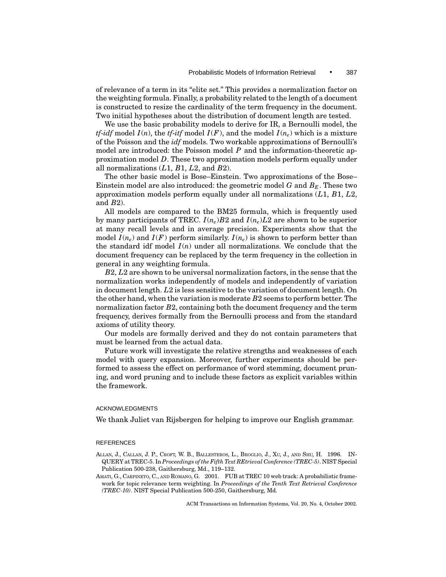of relevance of a term in its "elite set." This provides a normalization factor on the weighting formula. Finally, a probability related to the length of a document is constructed to resize the cardinality of the term frequency in the document. Two initial hypotheses about the distribution of document length are tested.

We use the basic probability models to derive for IR, a Bernoulli model, the *tf-idf* model  $I(n)$ , the *tf-itf* model  $I(F)$ , and the model  $I(n_e)$  which is a mixture of the Poisson and the *idf* models. Two workable approximations of Bernoulli's model are introduced: the Poisson model *P* and the information-theoretic approximation model *D*. These two approximation models perform equally under all normalizations (*L*1, *B*1, *L*2, and *B*2).

The other basic model is Bose–Einstein. Two approximations of the Bose– Einstein model are also introduced: the geometric model  $G$  and  $B<sub>E</sub>$ . These two approximation models perform equally under all normalizations (*L*1, *B*1, *L*2, and *B*2).

All models are compared to the BM25 formula, which is frequently used by many participants of TREC.  $I(n_e)B2$  and  $I(n_e)L2$  are shown to be superior at many recall levels and in average precision. Experiments show that the model  $I(n_e)$  and  $I(F)$  perform similarly.  $I(n_e)$  is shown to perform better than the standard idf model  $I(n)$  under all normalizations. We conclude that the document frequency can be replaced by the term frequency in the collection in general in any weighting formula.

*B*2, *L*2 are shown to be universal normalization factors, in the sense that the normalization works independently of models and independently of variation in document length. *L*2 is less sensitive to the variation of document length. On the other hand, when the variation is moderate *B*2 seems to perform better. The normalization factor *B*2, containing both the document frequency and the term frequency, derives formally from the Bernoulli process and from the standard axioms of utility theory.

Our models are formally derived and they do not contain parameters that must be learned from the actual data.

Future work will investigate the relative strengths and weaknesses of each model with query expansion. Moreover, further experiments should be performed to assess the effect on performance of word stemming, document pruning, and word pruning and to include these factors as explicit variables within the framework.

#### ACKNOWLEDGMENTS

We thank Juliet van Rijsbergen for helping to improve our English grammar.

#### REFERENCES

- ALLAN, J., CALLAN, J. P., CROFT, W. B., BALLESTEROS, L., BROGLIO, J., XU, J., AND SHU, H. 1996. IN-QUERY at TREC-5. In *Proceedings of the Fifth Text REtrieval Conference (TREC-5)*. NIST Special Publication 500-238, Gaithersburg, Md., 119–132.
- AMATI, G., CARPINETO, C., AND ROMANO, G. 2001. FUB at TREC 10 web track: A probabilistic framework for topic relevance term weighting. In *Proceedings of the Tenth Text Retrieval Conference (TREC-10)*. NIST Special Publication 500-250, Gaithersburg, Md.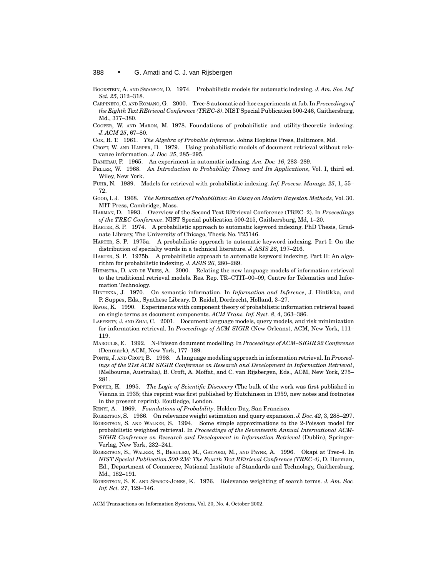BOOKSTEIN, A. AND SWANSON, D. 1974. Probabilistic models for automatic indexing. *J. Am. Soc. Inf. Sci. 25*, 312–318.

- CARPINETO, C. AND ROMANO, G. 2000. Trec-8 automatic ad-hoc experiments at fub. In *Proceedings of the Eighth Text REtrieval Conference (TREC-8)*. NIST Special Publication 500-246, Gaithersburg, Md., 377–380.
- COOPER, W. AND MARON, M. 1978. Foundations of probabilistic and utility-theoretic indexing. *J. ACM 25*, 67–80.
- COX, R. T. 1961. *The Algebra of Probable Inference*. Johns Hopkins Press, Baltimore, Md.
- CROFT, W. AND HARPER, D. 1979. Using probabilistic models of document retrieval without relevance information. *J. Doc. 35*, 285–295.
- DAMERAU, F. 1965. An experiment in automatic indexing. *Am. Doc. 16*, 283–289.
- FELLER, W. 1968. *An Introduction to Probability Theory and Its Applications*, Vol. I, third ed. Wiley, New York.
- FUHR, N. 1989. Models for retrieval with probabilistic indexing. *Inf. Process. Manage. 25*, 1, 55– 72.
- GOOD, I. J. 1968. *The Estimation of Probabilities: An Essay on Modern Bayesian Methods*, Vol. 30. MIT Press, Cambridge, Mass.
- HARMAN, D. 1993. Overview of the Second Text REtrieval Conference (TREC–2). In *Proceedings of the TREC Conference*. NIST Special publication 500-215, Gaithersburg, Md, 1–20.
- HARTER, S. P. 1974. A probabilistic approach to automatic keyword indexing. PhD Thesis, Graduate Library, The University of Chicago, Thesis No. T25146.
- HARTER, S. P. 1975a. A probabilistic approach to automatic keyword indexing. Part I: On the distribution of specialty words in a technical literature. *J. ASIS 26*, 197–216.
- HARTER, S. P. 1975b. A probabilistic approach to automatic keyword indexing. Part II: An algorithm for probabilistic indexing. *J. ASIS 26*, 280–289.
- HIEMSTRA, D. AND DE VRIES, A. 2000. Relating the new language models of information retrieval to the traditional retrieval models. Res. Rep. TR–CTIT–00–09, Centre for Telematics and Information Technology.
- HINTIKKA, J. 1970. On semantic information. In *Information and Inference*, J. Hintikka, and P. Suppes, Eds., Synthese Library. D. Reidel, Dordrecht, Holland, 3–27.
- KWOK, K. 1990. Experiments with component theory of probabilistic information retrieval based on single terms as document components. *ACM Trans. Inf. Syst. 8*, 4, 363–386.
- LAFFERTY, J. AND ZHAI, C. 2001. Document language models, query models, and risk minimization for information retrieval. In *Proceedings of ACM SIGIR* (New Orleans), ACM, New York, 111– 119.
- MARGULIS, E. 1992. N-Poisson document modelling. In *Proceedings of ACM–SIGIR 92 Conference* (Denmark), ACM, New York, 177–189.
- PONTE, J. AND CROFT, B. 1998. A language modeling approach in information retrieval. In *Proceedings of the 21st ACM SIGIR Conference on Research and Development in Information Retrieval*, (Melbourne, Australia), B. Croft, A. Moffat, and C. van Rijsbergen, Eds., ACM, New York, 275– 281.
- POPPER, K. 1995. *The Logic of Scientific Discovery* (The bulk of the work was first published in Vienna in 1935; this reprint was first published by Hutchinson in 1959, new notes and footnotes in the present reprint). Routledge, London.
- RENYI, A. 1969. *Foundations of Probability*. Holden-Day, San Francisco.
- ROBERTSON, S. 1986. On relevance weight estimation and query expansion. *J. Doc. 42*, 3, 288–297.
- ROBERTSON, S. AND WALKER, S. 1994. Some simple approximations to the 2-Poisson model for probabilistic weighted retrieval. In *Proceedings of the Seventeenth Annual International ACM-SIGIR Conference on Research and Development in Information Retrieval* (Dublin), Springer-Verlag, New York, 232–241.
- ROBERTSON, S., WALKER, S., BEAULIEU, M., GATFORD, M., AND PAYNE, A. 1996. Okapi at Trec-4. In *NIST Special Publication 500-236: The Fourth Text REtrieval Conference (TREC-4)*, D. Harman, Ed., Department of Commerce, National Institute of Standards and Technology, Gaithersburg, Md., 182–191.
- ROBERTSON, S. E. AND SPARCK-JONES, K. 1976. Relevance weighting of search terms. *J. Am. Soc. Inf. Sci. 27*, 129–146.